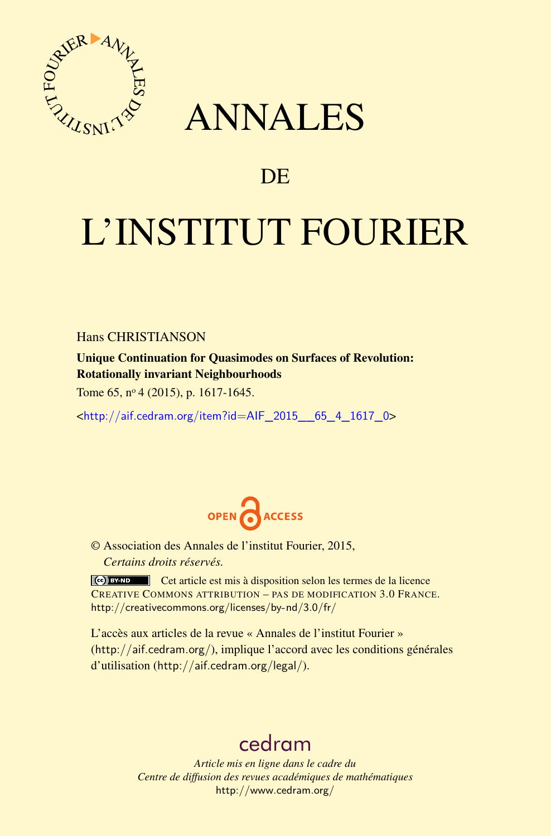

## ANNALES

### **DE**

# L'INSTITUT FOURIER

Hans CHRISTIANSON

Unique Continuation for Quasimodes on Surfaces of Revolution: Rotationally invariant Neighbourhoods

Tome 65, nº 4 (2015), p. 1617-1645.

<[http://aif.cedram.org/item?id=AIF\\_2015\\_\\_65\\_4\\_1617\\_0](http://aif.cedram.org/item?id=AIF_2015__65_4_1617_0)>



© Association des Annales de l'institut Fourier, 2015, *Certains droits réservés.*

Cet article est mis à disposition selon les termes de la licence CREATIVE COMMONS ATTRIBUTION – PAS DE MODIFICATION 3.0 FRANCE. <http://creativecommons.org/licenses/by-nd/3.0/fr/>

L'accès aux articles de la revue « Annales de l'institut Fourier » (<http://aif.cedram.org/>), implique l'accord avec les conditions générales d'utilisation (<http://aif.cedram.org/legal/>).

## [cedram](http://www.cedram.org/)

*Article mis en ligne dans le cadre du Centre de diffusion des revues académiques de mathématiques* <http://www.cedram.org/>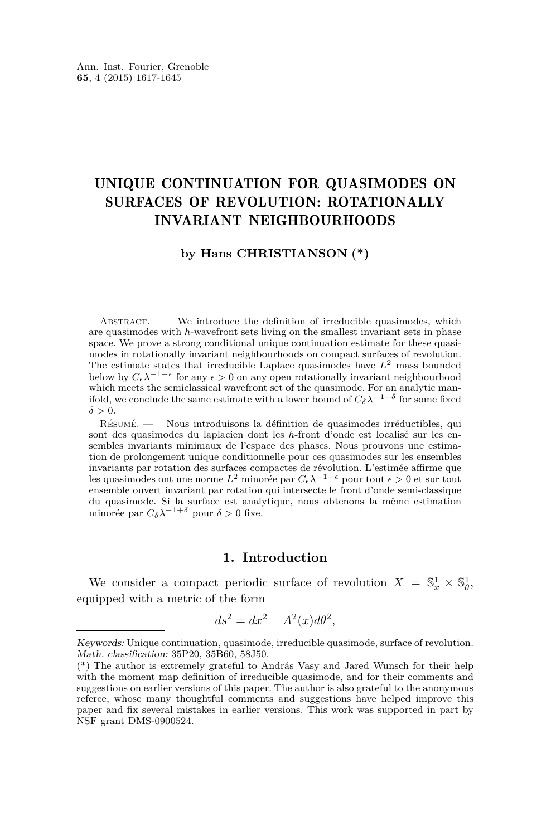#### UNIQUE CONTINUATION FOR QUASIMODES ON SURFACES OF REVOLUTION: ROTATIONALLY INVARIANT NEIGHBOURHOODS

#### **by Hans CHRISTIANSON (\*)**

ABSTRACT. — We introduce the definition of irreducible quasimodes, which are quasimodes with *h*-wavefront sets living on the smallest invariant sets in phase space. We prove a strong conditional unique continuation estimate for these quasimodes in rotationally invariant neighbourhoods on compact surfaces of revolution. The estimate states that irreducible Laplace quasimodes have *L*<sup>2</sup> mass bounded below by  $C_{\epsilon} \lambda^{-1-\epsilon}$  for any  $\epsilon > 0$  on any open rotationally invariant neighbourhood which meets the semiclassical wavefront set of the quasimode. For an analytic manifold, we conclude the same estimate with a lower bound of  $C_{\delta} \lambda^{-1+\delta}$  for some fixed  $\delta > 0$ .

Résumé. — Nous introduisons la définition de quasimodes irréductibles, qui sont des quasimodes du laplacien dont les *h*-front d'onde est localisé sur les ensembles invariants minimaux de l'espace des phases. Nous prouvons une estimation de prolongement unique conditionnelle pour ces quasimodes sur les ensembles invariants par rotation des surfaces compactes de révolution. L'estimée affirme que les quasimodes ont une norme *L*<sup>2</sup> minorée par *C*<sub>*ε*</sub> $λ$ <sup>−1−*ε*</sup> pour tout *ε* > 0 et sur tout ensemble ouvert invariant par rotation qui intersecte le front d'onde semi-classique du quasimode. Si la surface est analytique, nous obtenons la même estimation minorée par  $C_{\delta} \lambda^{-1+\delta}$  pour  $\delta > 0$  fixe.

#### **1. Introduction**

We consider a compact periodic surface of revolution  $X = \mathbb{S}^1_x \times \mathbb{S}^1_{\theta}$ , equipped with a metric of the form

$$
ds^2 = dx^2 + A^2(x)d\theta^2,
$$

Keywords: Unique continuation, quasimode, irreducible quasimode, surface of revolution. Math. classification: 35P20, 35B60, 58J50.

<sup>(\*)</sup> The author is extremely grateful to András Vasy and Jared Wunsch for their help with the moment map definition of irreducible quasimode, and for their comments and suggestions on earlier versions of this paper. The author is also grateful to the anonymous referee, whose many thoughtful comments and suggestions have helped improve this paper and fix several mistakes in earlier versions. This work was supported in part by NSF grant DMS-0900524.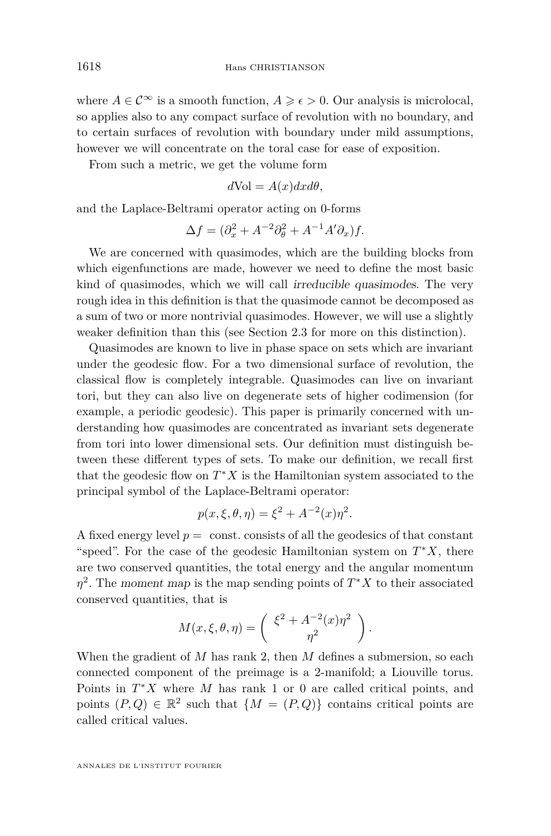where  $A \in \mathcal{C}^{\infty}$  is a smooth function,  $A \geq \epsilon > 0$ . Our analysis is microlocal, so applies also to any compact surface of revolution with no boundary, and to certain surfaces of revolution with boundary under mild assumptions, however we will concentrate on the toral case for ease of exposition.

From such a metric, we get the volume form

$$
d\text{Vol} = A(x)dx d\theta,
$$

and the Laplace-Beltrami operator acting on 0-forms

$$
\Delta f = (\partial_x^2 + A^{-2} \partial_{\theta}^2 + A^{-1} A' \partial_x) f.
$$

We are concerned with quasimodes, which are the building blocks from which eigenfunctions are made, however we need to define the most basic kind of quasimodes, which we will call irreducible quasimodes. The very rough idea in this definition is that the quasimode cannot be decomposed as a sum of two or more nontrivial quasimodes. However, we will use a slightly weaker definition than this (see Section [2.3](#page-8-0) for more on this distinction).

Quasimodes are known to live in phase space on sets which are invariant under the geodesic flow. For a two dimensional surface of revolution, the classical flow is completely integrable. Quasimodes can live on invariant tori, but they can also live on degenerate sets of higher codimension (for example, a periodic geodesic). This paper is primarily concerned with understanding how quasimodes are concentrated as invariant sets degenerate from tori into lower dimensional sets. Our definition must distinguish between these different types of sets. To make our definition, we recall first that the geodesic flow on  $T^*X$  is the Hamiltonian system associated to the principal symbol of the Laplace-Beltrami operator:

$$
p(x, \xi, \theta, \eta) = \xi^2 + A^{-2}(x)\eta^2.
$$

A fixed energy level  $p = \text{const.}$  consists of all the geodesics of that constant "speed". For the case of the geodesic Hamiltonian system on *T* <sup>∗</sup>*X*, there are two conserved quantities, the total energy and the angular momentum *η* 2 . The moment map is the map sending points of *T* <sup>∗</sup>*X* to their associated conserved quantities, that is

$$
M(x,\xi,\theta,\eta) = \begin{pmatrix} \xi^2 + A^{-2}(x)\eta^2 \\ \eta^2 \end{pmatrix}.
$$

When the gradient of *M* has rank 2, then *M* defines a submersion, so each connected component of the preimage is a 2-manifold; a Liouville torus. Points in *T* <sup>∗</sup>*X* where *M* has rank 1 or 0 are called critical points, and points  $(P,Q) \in \mathbb{R}^2$  such that  $\{M = (P,Q)\}\$ contains critical points are called critical values.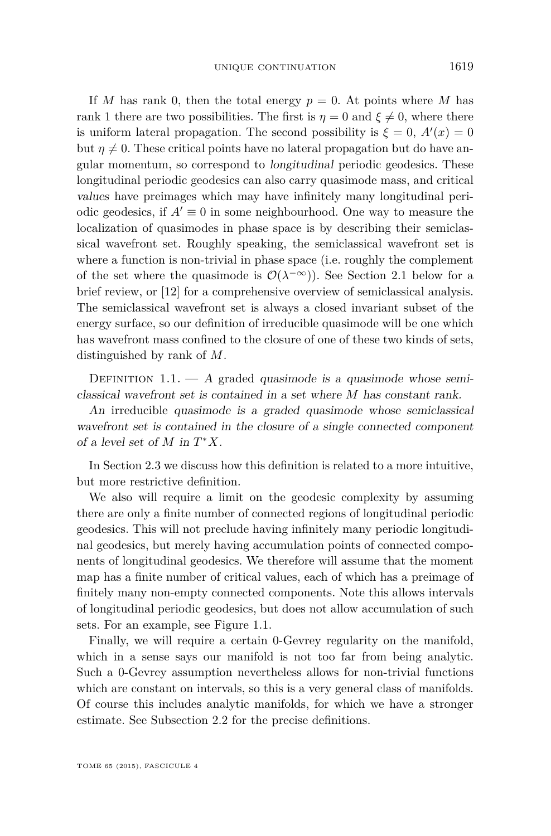<span id="page-3-0"></span>If *M* has rank 0, then the total energy  $p = 0$ . At points where *M* has rank 1 there are two possibilities. The first is  $\eta = 0$  and  $\xi \neq 0$ , where there is uniform lateral propagation. The second possibility is  $\xi = 0$ ,  $A'(x) = 0$ but  $\eta \neq 0$ . These critical points have no lateral propagation but do have angular momentum, so correspond to longitudinal periodic geodesics. These longitudinal periodic geodesics can also carry quasimode mass, and critical values have preimages which may have infinitely many longitudinal periodic geodesics, if  $A' \equiv 0$  in some neighbourhood. One way to measure the localization of quasimodes in phase space is by describing their semiclassical wavefront set. Roughly speaking, the semiclassical wavefront set is where a function is non-trivial in phase space (i.e. roughly the complement of the set where the quasimode is  $\mathcal{O}(\lambda^{-\infty})$ . See Section [2.1](#page-6-0) below for a brief review, or [\[12\]](#page-29-0) for a comprehensive overview of semiclassical analysis. The semiclassical wavefront set is always a closed invariant subset of the energy surface, so our definition of irreducible quasimode will be one which has wavefront mass confined to the closure of one of these two kinds of sets, distinguished by rank of *M*.

DEFINITION 1.1. — A graded quasimode is a quasimode whose semiclassical wavefront set is contained in a set where *M* has constant rank.

An irreducible quasimode is a graded quasimode whose semiclassical wavefront set is contained in the closure of a single connected component of a level set of  $M$  in  $T^*X$ .

In Section [2.3](#page-8-0) we discuss how this definition is related to a more intuitive, but more restrictive definition.

We also will require a limit on the geodesic complexity by assuming there are only a finite number of connected regions of longitudinal periodic geodesics. This will not preclude having infinitely many periodic longitudinal geodesics, but merely having accumulation points of connected components of longitudinal geodesics. We therefore will assume that the moment map has a finite number of critical values, each of which has a preimage of finitely many non-empty connected components. Note this allows intervals of longitudinal periodic geodesics, but does not allow accumulation of such sets. For an example, see Figure [1.1.](#page-4-0)

Finally, we will require a certain 0-Gevrey regularity on the manifold, which in a sense says our manifold is not too far from being analytic. Such a 0-Gevrey assumption nevertheless allows for non-trivial functions which are constant on intervals, so this is a very general class of manifolds. Of course this includes analytic manifolds, for which we have a stronger estimate. See Subsection [2.2](#page-7-0) for the precise definitions.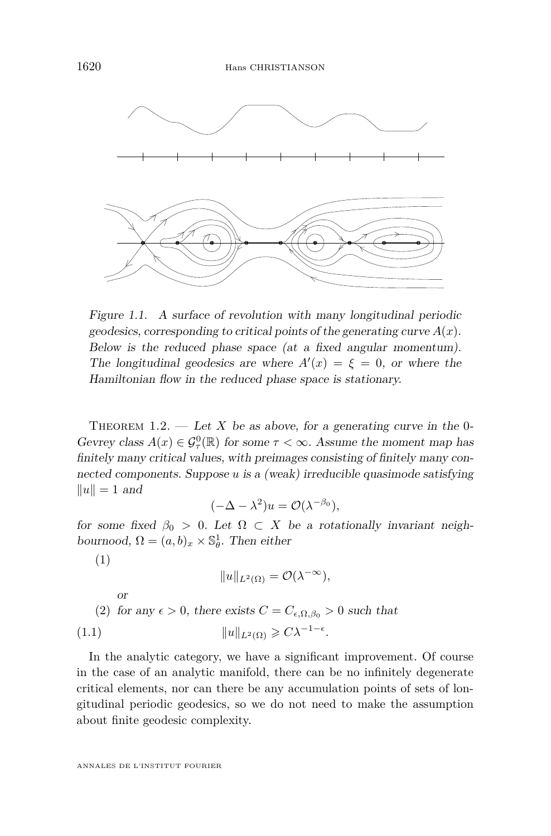<span id="page-4-0"></span>

Figure 1.1. A surface of revolution with many longitudinal periodic Figure 1.1. A surface of revolution with many longitudinal periodic geodesics, corresponding to critical points of the generating curve  $A(x)$ . Below is the reduced phase space (at a fixed angular momentum). Below is the reduced phase space (at a fixed angular momentum). The longitudinal geodesics are where  $A'(x) = \xi = 0$ , or where the Hamiltonian flow in the reduced phase space is stationary.

 $T_{\text{trap}}$ THEOREM 1.2. — Let *X* be as above, for a generating curve in the 0 $f(x) = \frac{1}{2} \int_{-\infty}^{\infty} \int_{-\infty}^{\infty} f(x) dx$  for some  $f(x) \sim \infty$ . Assume the moment nap has finitely many critical values, with preimages consisting of finitely many con-<br>posted components. Suppose  $v$  is a (weak) irreducible sussimede satisfying nintery many critical values, with premiages consisting or nintery many con-<br>nected components. Suppose *u* is a (weak) irreducible quasimode satisfying  $\|u\| = 1$  and Gevrey class  $A(x) \in \mathcal{G}_{\tau}^{0}(\mathbb{R})$  for some  $\tau < \infty$ . Assume the moment map has

$$
(-\Delta - \lambda^2)u = \mathcal{O}(\lambda^{-\beta_0}),
$$

for some fixed  $\beta_0 > 0$ . Let  $\Omega \subset X$  be a rotationally invariant neigh- $(1)$  $\overline{1}$ bournood,  $\Omega = (a, b)_x \times \mathbb{S}_{\theta}^1$ . Then either

(1)

$$
||u||_{L^2(\Omega)} = \mathcal{O}(\lambda^{-\infty}),
$$

 $\alpha$ r (2) for any  $\epsilon > 0$  there exists  $C - C$  as  $\epsilon > 0$  such that (2) for any  $\epsilon > 0$ , there exists  $C = C_{\epsilon, \Omega, \beta_0} > 0$  such that (1.1)  $||u||_{L^2(\Omega)} \geqslant C\lambda^{-1-\epsilon}.$ or

In the analytic category, we have a significant improvement. Of course in the case of an analytic manifold, there can be no infinitely degenerate critical elements, nor can there be any accumulation points of sets of lon-<br>critical portiolia goodesies, so we do not poed to make the assumption about finite geodesic complexity. gitudinal periodic geodesics, so we do not need to make the assumption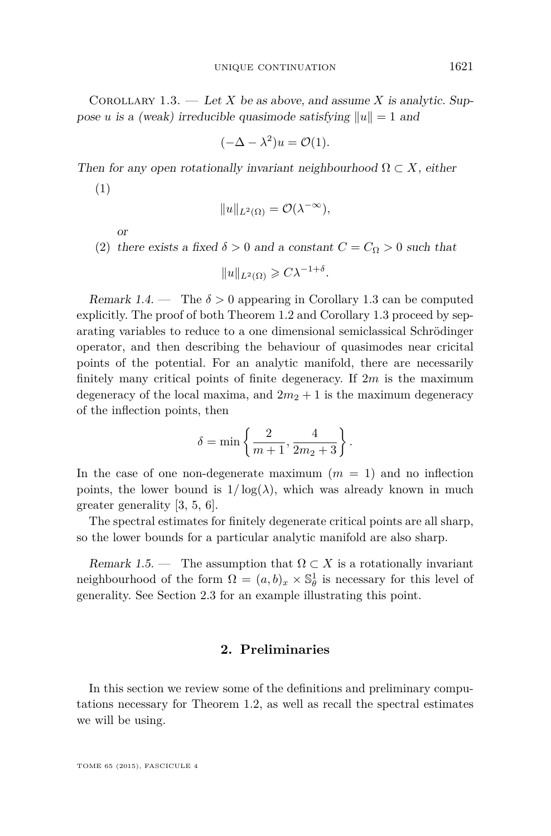<span id="page-5-0"></span>COROLLARY 1.3. — Let *X* be as above, and assume *X* is analytic. Suppose *u* is a (weak) irreducible quasimode satisfying  $||u|| = 1$  and

$$
(-\Delta - \lambda^2)u = \mathcal{O}(1).
$$

Then for any open rotationally invariant neighbourhood  $\Omega \subset X$ , either

(1)

$$
||u||_{L^2(\Omega)} = \mathcal{O}(\lambda^{-\infty}),
$$

or

(2) there exists a fixed  $\delta > 0$  and a constant  $C = C_{\Omega} > 0$  such that

 $||u||_{L^2(\Omega)} \geqslant C\lambda^{-1+\delta}$ .

Remark 1.4. — The  $\delta > 0$  appearing in Corollary 1.3 can be computed explicitly. The proof of both Theorem [1.2](#page-4-0) and Corollary 1.3 proceed by separating variables to reduce to a one dimensional semiclassical Schrödinger operator, and then describing the behaviour of quasimodes near cricital points of the potential. For an analytic manifold, there are necessarily finitely many critical points of finite degeneracy. If 2*m* is the maximum degeneracy of the local maxima, and  $2m_2 + 1$  is the maximum degeneracy of the inflection points, then

$$
\delta = \min\left\{\frac{2}{m+1}, \frac{4}{2m_2+3}\right\}.
$$

In the case of one non-degenerate maximum  $(m = 1)$  and no inflection points, the lower bound is  $1/\log(\lambda)$ , which was already known in much greater generality [\[3,](#page-28-0) [5,](#page-29-0) [6\]](#page-29-0).

The spectral estimates for finitely degenerate critical points are all sharp, so the lower bounds for a particular analytic manifold are also sharp.

Remark 1.5. — The assumption that  $\Omega \subset X$  is a rotationally invariant neighbourhood of the form  $\Omega = (a, b)_x \times \mathbb{S}^1_\theta$  is necessary for this level of generality. See Section [2.3](#page-8-0) for an example illustrating this point.

#### **2. Preliminaries**

In this section we review some of the definitions and preliminary computations necessary for Theorem [1.2,](#page-4-0) as well as recall the spectral estimates we will be using.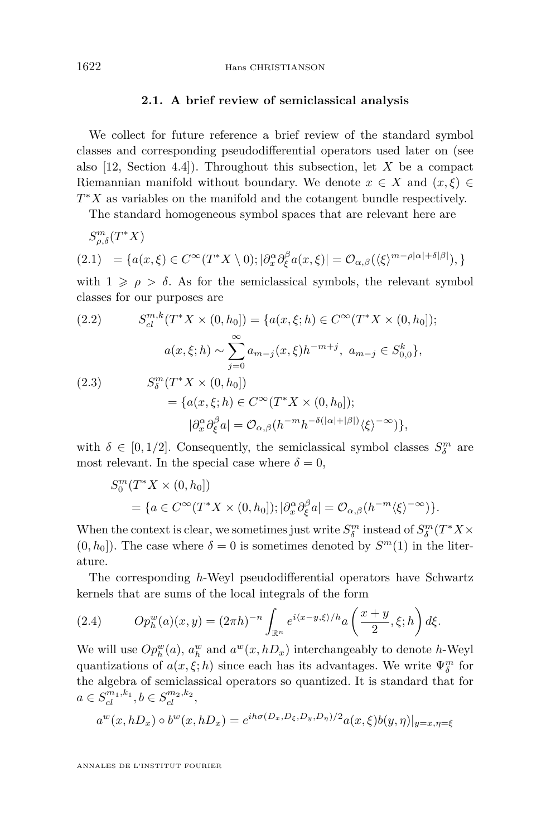#### **2.1. A brief review of semiclassical analysis**

<span id="page-6-0"></span>We collect for future reference a brief review of the standard symbol classes and corresponding pseudodifferential operators used later on (see also [\[12,](#page-29-0) Section 4.4]). Throughout this subsection, let *X* be a compact Riemannian manifold without boundary. We denote  $x \in X$  and  $(x, \xi) \in$ *T*<sup>∗</sup>*X* as variables on the manifold and the cotangent bundle respectively.

The standard homogeneous symbol spaces that are relevant here are

$$
S^m_{\rho,\delta}(T^*X)
$$
  
(2.1) = { $a(x,\xi) \in C^{\infty}(T^*X \setminus 0)$ ;  $|\partial_x^{\alpha}\partial_{\xi}^{\beta}a(x,\xi)| = O_{\alpha,\beta}(\langle \xi \rangle^{m-\rho|\alpha|+\delta|\beta|})$ ,}

with  $1 \geqslant \rho > \delta$ . As for the semiclassical symbols, the relevant symbol classes for our purposes are

(2.2) 
$$
S_{cl}^{m,k}(T^*X \times (0, h_0]) = \{a(x, \xi; h) \in C^{\infty}(T^*X \times (0, h_0]); a(x, \xi; h) \sim \sum_{j=0}^{\infty} a_{m-j}(x, \xi)h^{-m+j}, a_{m-j} \in S_{0,0}^k\}, (2.3) 
$$
S_{\delta}^m(T^*X \times (0, h_0]) = \{a(x, \xi; h) \in C^{\infty}(T^*X \times (0, h_0]); |\partial_x^{\alpha}\partial_{\xi}^{\beta}a| = \mathcal{O}_{\alpha,\beta}(h^{-m}h^{-\delta(|\alpha|+|\beta|)}\langle \xi \rangle^{-\infty})\},
$$
$$

with  $\delta \in [0, 1/2]$ . Consequently, the semiclassical symbol classes  $S_{\delta}^{m}$  are most relevant. In the special case where  $\delta = 0$ ,

$$
S_0^m(T^*X \times (0, h_0])
$$
  
= { $a \in C^\infty(T^*X \times (0, h_0]); |\partial_x^{\alpha} \partial_{\xi}^{\beta} a| = \mathcal{O}_{\alpha, \beta}(h^{-m} \langle \xi \rangle^{-\infty})$  }.

When the context is clear, we sometimes just write  $S_\delta^m$  instead of  $S_\delta^m(T^*X \times \mathbb{R})$  $(0, h_0]$ ). The case where  $\delta = 0$  is sometimes denoted by  $S^m(1)$  in the literature.

The corresponding *h*-Weyl pseudodifferential operators have Schwartz kernels that are sums of the local integrals of the form

(2.4) 
$$
Op_h^w(a)(x,y) = (2\pi h)^{-n} \int_{\mathbb{R}^n} e^{i\langle x-y,\xi\rangle/h} a\left(\frac{x+y}{2},\xi;h\right) d\xi.
$$

We will use  $Op_h^w(a)$ ,  $a_h^w$  and  $a^w(x, hD_x)$  interchangeably to denote *h*-Weyl quantizations of  $a(x, \xi; h)$  since each has its advantages. We write  $\Psi_{\delta}^{m}$  for the algebra of semiclassical operators so quantized. It is standard that for  $a \in S_{cl}^{m_1,k_1}, b \in S_{cl}^{m_2,k_2},$ 

$$
a^w(x, hD_x) \circ b^w(x, hD_x) = e^{ih\sigma(D_x, D_{\xi}, D_y, D_{\eta})/2} a(x, \xi) b(y, \eta)|_{y=x, \eta=\xi}
$$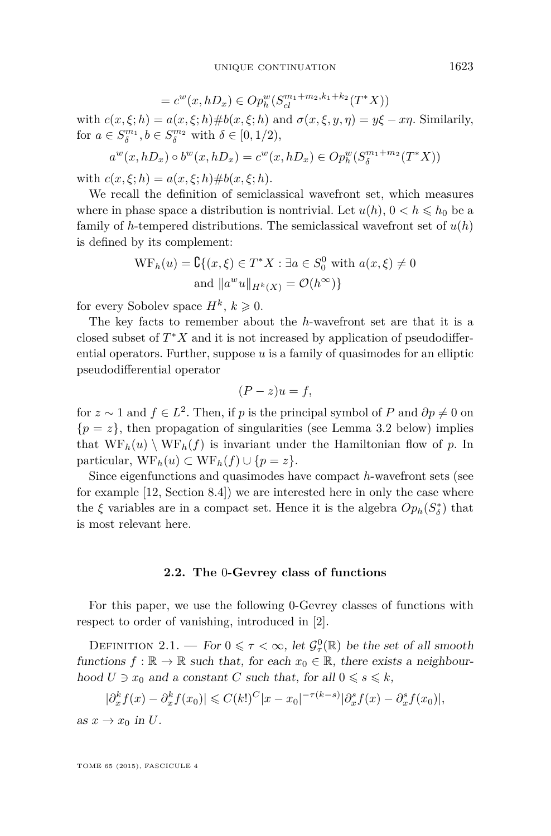$$
= c^{w}(x, hD_x) \in Op_{h}^{w}(S_{cl}^{m_1 + m_2, k_1 + k_2}(T^*X))
$$

<span id="page-7-0"></span>with  $c(x,\xi; h) = a(x,\xi; h) \# b(x,\xi; h)$  and  $\sigma(x,\xi, y, \eta) = y\xi - x\eta$ . Similarily, for  $a \in S_{\delta}^{m_1}, b \in S_{\delta}^{m_2}$  with  $\delta \in [0, 1/2)$ ,

$$
a^{w}(x, hD_x) \circ b^{w}(x, hD_x) = c^{w}(x, hD_x) \in Op_h^w(S_{\delta}^{m_1 + m_2}(T^*X))
$$

with  $c(x, \xi; h) = a(x, \xi; h) \# b(x, \xi; h)$ .

We recall the definition of semiclassical wavefront set, which measures where in phase space a distribution is nontrivial. Let  $u(h)$ ,  $0 < h \le h_0$  be a family of *h*-tempered distributions. The semiclassical wavefront set of  $u(h)$ is defined by its complement:

$$
WF_h(u) = \mathbb{C}\{(x,\xi) \in T^*X : \exists a \in S_0^0 \text{ with } a(x,\xi) \neq 0
$$
  
and  $||a^w u||_{H^k(X)} = \mathcal{O}(h^{\infty})\}$ 

for every Sobolev space  $H^k$ ,  $k \geqslant 0$ .

The key facts to remember about the *h*-wavefront set are that it is a closed subset of  $T^*X$  and it is not increased by application of pseudodifferential operators. Further, suppose *u* is a family of quasimodes for an elliptic pseudodifferential operator

$$
(P - z)u = f,
$$

for  $z \sim 1$  and  $f \in L^2$ . Then, if *p* is the principal symbol of *P* and  $\partial p \neq 0$  on  ${p = z}$ , then propagation of singularities (see Lemma [3.2](#page-19-0) below) implies that  $WF_h(u) \setminus WF_h(f)$  is invariant under the Hamiltonian flow of p. In particular,  $WF_h(u) \subset WF_h(f) \cup \{p = z\}.$ 

Since eigenfunctions and quasimodes have compact *h*-wavefront sets (see for example [\[12,](#page-29-0) Section 8.4]) we are interested here in only the case where the  $\xi$  variables are in a compact set. Hence it is the algebra  $Op_h(S^*_{\delta})$  that is most relevant here.

#### **2.2. The** 0**-Gevrey class of functions**

For this paper, we use the following 0-Gevrey classes of functions with respect to order of vanishing, introduced in [\[2\]](#page-28-0).

DEFINITION 2.1. — For  $0 \leq \tau < \infty$ , let  $\mathcal{G}_{\tau}^{0}(\mathbb{R})$  be the set of all smooth functions  $f : \mathbb{R} \to \mathbb{R}$  such that, for each  $x_0 \in \mathbb{R}$ , there exists a neighbourhood  $U \ni x_0$  and a constant  $C$  such that, for all  $0 \le s \le k$ ,

$$
|\partial_x^k f(x) - \partial_x^k f(x_0)| \leq C(k!)^C |x - x_0|^{-\tau(k-s)} |\partial_x^s f(x) - \partial_x^s f(x_0)|,
$$

as  $x \to x_0$  in *U*.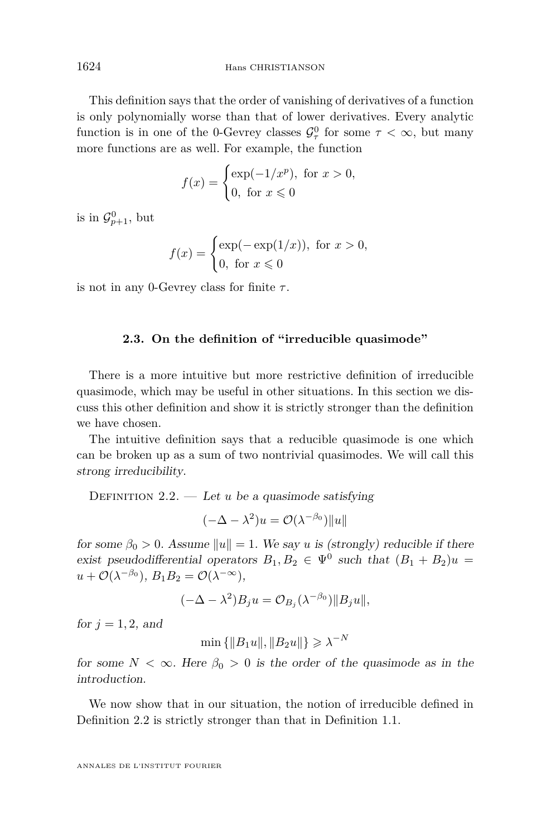<span id="page-8-0"></span>This definition says that the order of vanishing of derivatives of a function is only polynomially worse than that of lower derivatives. Every analytic function is in one of the 0-Gevrey classes  $\mathcal{G}^0_\tau$  for some  $\tau < \infty$ , but many more functions are as well. For example, the function

$$
f(x) = \begin{cases} \exp(-1/x^p), & \text{for } x > 0, \\ 0, & \text{for } x \le 0 \end{cases}
$$

is in  $\mathcal{G}_{p+1}^0$ , but

$$
f(x) = \begin{cases} \exp(-\exp(1/x)), & \text{for } x > 0, \\ 0, & \text{for } x \le 0 \end{cases}
$$

is not in any 0-Gevrey class for finite *τ* .

#### **2.3. On the definition of "irreducible quasimode"**

There is a more intuitive but more restrictive definition of irreducible quasimode, which may be useful in other situations. In this section we discuss this other definition and show it is strictly stronger than the definition we have chosen.

The intuitive definition says that a reducible quasimode is one which can be broken up as a sum of two nontrivial quasimodes. We will call this strong irreducibility.

DEFINITION  $2.2$ . — Let *u* be a quasimode satisfying

$$
(-\Delta - \lambda^2)u = \mathcal{O}(\lambda^{-\beta_0})||u||
$$

for some  $\beta_0 > 0$ . Assume  $||u|| = 1$ . We say *u* is (strongly) reducible if there exist pseudodifferential operators  $B_1, B_2 \in \Psi^0$  such that  $(B_1 + B_2)u =$  $u + \mathcal{O}(\lambda^{-\beta_0}), B_1B_2 = \mathcal{O}(\lambda^{-\infty}),$ 

$$
(-\Delta - \lambda^2)B_j u = \mathcal{O}_{B_j}(\lambda^{-\beta_0}) \|B_j u\|,
$$

for  $j = 1, 2$ , and

$$
\min\left\{\|B_1u\|,\|B_2u\|\right\}\geqslant\lambda^{-N}
$$

for some  $N < \infty$ . Here  $\beta_0 > 0$  is the order of the quasimode as in the introduction.

We now show that in our situation, the notion of irreducible defined in Definition 2.2 is strictly stronger than that in Definition [1.1.](#page-3-0)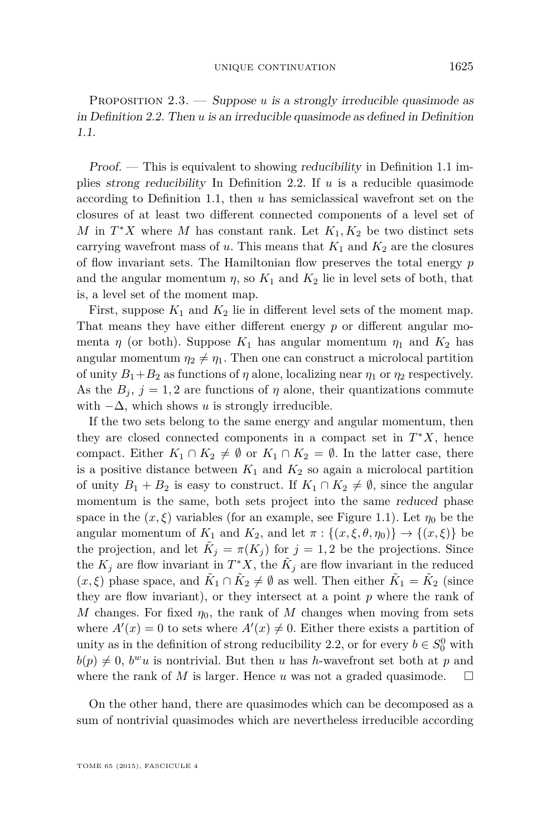PROPOSITION 2.3. — Suppose *u* is a strongly irreducible quasimode as in Definition [2.2.](#page-8-0) Then *u* is an irreducible quasimode as defined in Definition [1.1.](#page-3-0)

Proof. — This is equivalent to showing reducibility in Definition [1.1](#page-3-0) implies strong reducibility In Definition [2.2.](#page-8-0) If *u* is a reducible quasimode according to Definition [1.1,](#page-3-0) then *u* has semiclassical wavefront set on the closures of at least two different connected components of a level set of *M* in  $T^*X$  where *M* has constant rank. Let  $K_1, K_2$  be two distinct sets carrying wavefront mass of  $u$ . This means that  $K_1$  and  $K_2$  are the closures of flow invariant sets. The Hamiltonian flow preserves the total energy *p* and the angular momentum  $\eta$ , so  $K_1$  and  $K_2$  lie in level sets of both, that is, a level set of the moment map.

First, suppose  $K_1$  and  $K_2$  lie in different level sets of the moment map. That means they have either different energy *p* or different angular momenta  $\eta$  (or both). Suppose  $K_1$  has angular momentum  $\eta_1$  and  $K_2$  has angular momentum  $\eta_2 \neq \eta_1$ . Then one can construct a microlocal partition of unity  $B_1 + B_2$  as functions of  $\eta$  alone, localizing near  $\eta_1$  or  $\eta_2$  respectively. As the  $B_j$ ,  $j = 1, 2$  are functions of  $\eta$  alone, their quantizations commute with  $-\Delta$ , which shows *u* is strongly irreducible.

If the two sets belong to the same energy and angular momentum, then they are closed connected components in a compact set in  $T^*X$ , hence compact. Either  $K_1 \cap K_2 \neq \emptyset$  or  $K_1 \cap K_2 = \emptyset$ . In the latter case, there is a positive distance between  $K_1$  and  $K_2$  so again a microlocal partition of unity  $B_1 + B_2$  is easy to construct. If  $K_1 \cap K_2 \neq \emptyset$ , since the angular momentum is the same, both sets project into the same reduced phase space in the  $(x, \xi)$  variables (for an example, see Figure [1.1\)](#page-4-0). Let  $\eta_0$  be the angular momentum of  $K_1$  and  $K_2$ , and let  $\pi: \{(x, \xi, \theta, \eta_0)\} \to \{(x, \xi)\}\$ be the projection, and let  $\tilde{K}_j = \pi(K_j)$  for  $j = 1, 2$  be the projections. Since the  $K_j$  are flow invariant in  $T^*X$ , the  $\tilde{K}_j$  are flow invariant in the reduced  $(x, \xi)$  phase space, and  $\tilde{K}_1 \cap \tilde{K}_2 \neq \emptyset$  as well. Then either  $\tilde{K}_1 = \tilde{K}_2$  (since they are flow invariant), or they intersect at a point *p* where the rank of *M* changes. For fixed  $\eta_0$ , the rank of *M* changes when moving from sets where  $A'(x) = 0$  to sets where  $A'(x) \neq 0$ . Either there exists a partition of unity as in the definition of strong reducibility [2.2,](#page-8-0) or for every  $b \in S_0^0$  with  $b(p) \neq 0$ , *b*<sup>*w*</sup>*u* is nontrivial. But then *u* has *h*-wavefront set both at *p* and where the rank of *M* is larger. Hence *u* was not a graded quasimode.  $\square$ 

On the other hand, there are quasimodes which can be decomposed as a sum of nontrivial quasimodes which are nevertheless irreducible according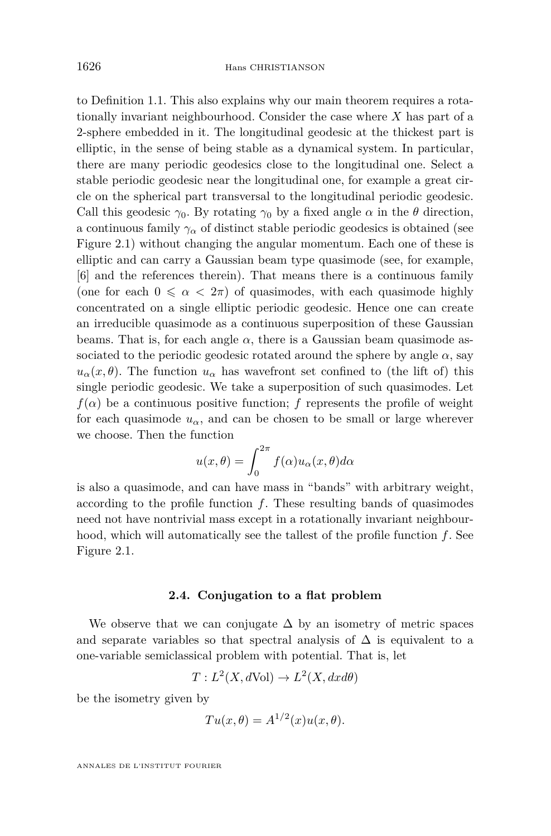to Definition [1.1.](#page-3-0) This also explains why our main theorem requires a rotationally invariant neighbourhood. Consider the case where *X* has part of a 2-sphere embedded in it. The longitudinal geodesic at the thickest part is elliptic, in the sense of being stable as a dynamical system. In particular, there are many periodic geodesics close to the longitudinal one. Select a stable periodic geodesic near the longitudinal one, for example a great circle on the spherical part transversal to the longitudinal periodic geodesic. Call this geodesic  $\gamma_0$ . By rotating  $\gamma_0$  by a fixed angle  $\alpha$  in the  $\theta$  direction, a continuous family  $\gamma_{\alpha}$  of distinct stable periodic geodesics is obtained (see Figure [2.1\)](#page-11-0) without changing the angular momentum. Each one of these is elliptic and can carry a Gaussian beam type quasimode (see, for example, [\[6\]](#page-29-0) and the references therein). That means there is a continuous family (one for each  $0 \le \alpha < 2\pi$ ) of quasimodes, with each quasimode highly concentrated on a single elliptic periodic geodesic. Hence one can create an irreducible quasimode as a continuous superposition of these Gaussian beams. That is, for each angle  $\alpha$ , there is a Gaussian beam quasimode associated to the periodic geodesic rotated around the sphere by angle  $\alpha$ , say  $u_{\alpha}(x,\theta)$ . The function  $u_{\alpha}$  has wavefront set confined to (the lift of) this single periodic geodesic. We take a superposition of such quasimodes. Let  $f(\alpha)$  be a continuous positive function; *f* represents the profile of weight for each quasimode  $u_{\alpha}$ , and can be chosen to be small or large wherever we choose. Then the function

$$
u(x,\theta) = \int_0^{2\pi} f(\alpha)u_\alpha(x,\theta)d\alpha
$$

is also a quasimode, and can have mass in "bands" with arbitrary weight, according to the profile function *f*. These resulting bands of quasimodes need not have nontrivial mass except in a rotationally invariant neighbourhood, which will automatically see the tallest of the profile function *f*. See Figure [2.1.](#page-11-0)

#### **2.4. Conjugation to a flat problem**

We observe that we can conjugate  $\Delta$  by an isometry of metric spaces and separate variables so that spectral analysis of  $\Delta$  is equivalent to a one-variable semiclassical problem with potential. That is, let

$$
T: L^2(X, d\text{Vol}) \to L^2(X, dx d\theta)
$$

be the isometry given by

$$
Tu(x,\theta) = A^{1/2}(x)u(x,\theta).
$$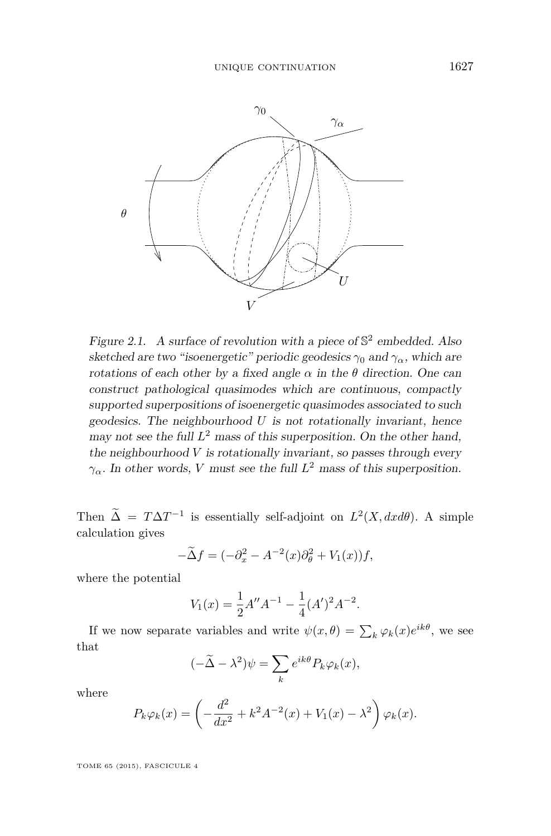<span id="page-11-0"></span>

Figure 2.1. A surface of revolution with a piece of  $\mathbb{S}^2$  embedded. Also sketched are two "isoenergetic" periodic geodesics  $\gamma_0$  and  $\gamma_\alpha$ , which are rotations of each other by a fixed angle  $\alpha$  in the *θ* direction. One can construct pathological quasimodes which are continuous, compactly construct pathological quasimodes which are continuous, compactly supported superpositions of isoenergetic quasimodes associated to such supported superpositions of isoenergetic quasimodes associated to such geodesics. The neighbourhood U is not rotationally invariant, hence geodesics. The neighbourhood *U* is not rotationally invariant, hence geodesics. The heighbourhood  $\sigma$  is not rotationally invariant, nence may not see the full  $L^2$  mass of this superposition. On the other hand, the neighbourhood V is rotationally invariant, so passes through every the neighbourhood *V* is rotationally invariant, so passes through every *γ*<sup>*α*</sup>. In other words, *V* must see the full  $L^2$  mass of this superposition.

Then  $\tilde{\Lambda} = T\Lambda T^{-1}$  is essentially self-adjoint on  $L^2(Y, dx)$ . A sim Then  $\Delta = T\Delta T^{-1}$  is essentially self-adjoint on  $L^2(X, dx d\theta)$ . A simple calculation gives

$$
-\tilde{\Delta}f = (-\partial_x^2 - A^{-2}(x)\partial_{\theta}^2 + V_1(x))f,
$$

where the potential where the potential

$$
V_1(x) = \frac{1}{2}A''A^{-1} - \frac{1}{4}(A')^2A^{-2}.
$$

If we now separate variables and write  $\psi(x,\theta) = \sum_{k} \varphi_k(x) e^{ik\theta}$ , we see that that

$$
(-\widetilde{\Delta} - \lambda^2)\psi = \sum_k e^{ik\theta} P_k \varphi_k(x),
$$

where where

$$
P_k \varphi_k(x) = \left(-\frac{d^2}{dx^2} + k^2 A^{-2}(x) + V_1(x) - \lambda^2\right) \varphi_k(x).
$$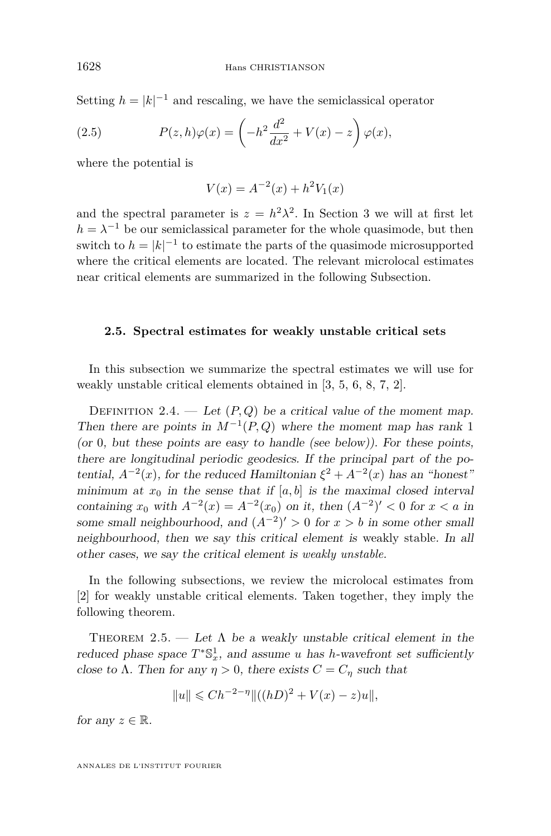<span id="page-12-0"></span>Setting  $h = |k|^{-1}$  and rescaling, we have the semiclassical operator

(2.5) 
$$
P(z, h)\varphi(x) = \left(-h^2\frac{d^2}{dx^2} + V(x) - z\right)\varphi(x),
$$

where the potential is

$$
V(x) = A^{-2}(x) + h^2 V_1(x)
$$

and the spectral parameter is  $z = h^2 \lambda^2$ . In Section [3](#page-16-0) we will at first let  $h = \lambda^{-1}$  be our semiclassical parameter for the whole quasimode, but then switch to  $h = |k|^{-1}$  to estimate the parts of the quasimode microsupported where the critical elements are located. The relevant microlocal estimates near critical elements are summarized in the following Subsection.

#### **2.5. Spectral estimates for weakly unstable critical sets**

In this subsection we summarize the spectral estimates we will use for weakly unstable critical elements obtained in [\[3,](#page-28-0) [5,](#page-29-0) [6,](#page-29-0) [8,](#page-29-0) [7,](#page-29-0) [2\]](#page-28-0).

DEFINITION 2.4. — Let  $(P,Q)$  be a critical value of the moment map. Then there are points in  $M^{-1}(P,Q)$  where the moment map has rank 1 (or 0, but these points are easy to handle (see below)). For these points, there are longitudinal periodic geodesics. If the principal part of the potential,  $A^{-2}(x)$ , for the reduced Hamiltonian  $\xi^2 + A^{-2}(x)$  has an "honest" minimum at  $x_0$  in the sense that if  $[a, b]$  is the maximal closed interval containing  $x_0$  with  $A^{-2}(x) = A^{-2}(x_0)$  on it, then  $(A^{-2})' < 0$  for  $x < a$  in some small neighbourhood, and  $(A^{-2})' > 0$  for  $x > b$  in some other small neighbourhood, then we say this critical element is weakly stable. In all other cases, we say the critical element is *weakly unstable*.

In the following subsections, we review the microlocal estimates from [\[2\]](#page-28-0) for weakly unstable critical elements. Taken together, they imply the following theorem.

THEOREM 2.5. — Let  $\Lambda$  be a weakly unstable critical element in the reduced phase space  $T^*\mathbb{S}^1_x$ , and assume *u* has *h*-wavefront set sufficiently close to  $\Lambda$ . Then for any  $\eta > 0$ , there exists  $C = C_n$  such that

$$
||u|| \leq C h^{-2-\eta} ||((hD)^2 + V(x) - z)u||,
$$

for any  $z \in \mathbb{R}$ .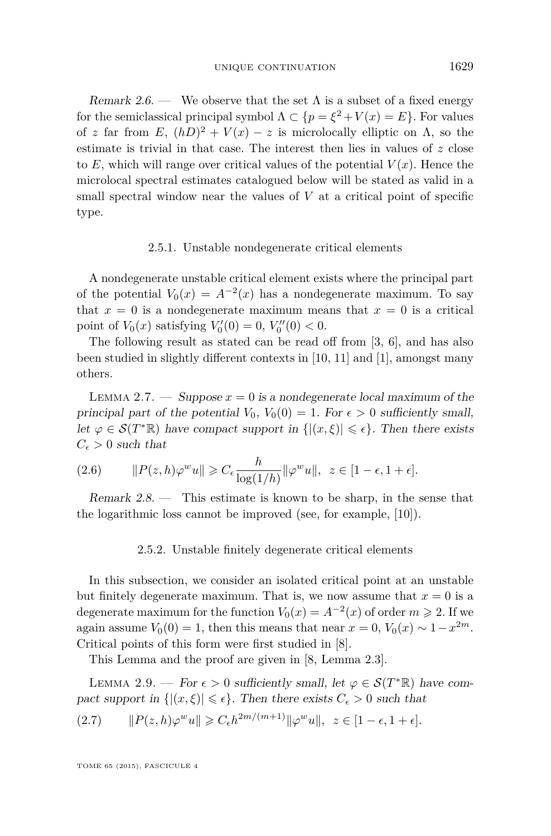Remark 2.6. — We observe that the set  $\Lambda$  is a subset of a fixed energy for the semiclassical principal symbol  $\Lambda \subset \{p = \xi^2 + V(x) = E\}$ . For values of *z* far from  $E$ ,  $(hD)^2 + V(x) - z$  is microlocally elliptic on  $\Lambda$ , so the estimate is trivial in that case. The interest then lies in values of *z* close to  $E$ , which will range over critical values of the potential  $V(x)$ . Hence the microlocal spectral estimates catalogued below will be stated as valid in a small spectral window near the values of *V* at a critical point of specific type.

#### 2.5.1. Unstable nondegenerate critical elements

A nondegenerate unstable critical element exists where the principal part of the potential  $V_0(x) = A^{-2}(x)$  has a nondegenerate maximum. To say that  $x = 0$  is a nondegenerate maximum means that  $x = 0$  is a critical point of  $V_0(x)$  satisfying  $V'_0(0) = 0, V''_0(0) < 0.$ 

The following result as stated can be read off from [\[3,](#page-28-0) [6\]](#page-29-0), and has also been studied in slightly different contexts in [\[10,](#page-29-0) [11\]](#page-29-0) and [\[1\]](#page-28-0), amongst many others.

LEMMA 2.7. — Suppose  $x = 0$  is a nondegenerate local maximum of the principal part of the potential  $V_0$ ,  $V_0(0) = 1$ . For  $\epsilon > 0$  sufficiently small, let  $\varphi \in \mathcal{S}(T^*\mathbb{R})$  have compact support in  $\{|(x,\xi)| \leq \epsilon\}$ . Then there exists  $C_{\epsilon} > 0$  such that

(2.6) 
$$
\|P(z,h)\varphi^w u\| \geqslant C_{\epsilon} \frac{h}{\log(1/h)} \|\varphi^w u\|, \ \ z \in [1-\epsilon, 1+\epsilon].
$$

Remark  $2.8$ . — This estimate is known to be sharp, in the sense that the logarithmic loss cannot be improved (see, for example, [\[10\]](#page-29-0)).

#### 2.5.2. Unstable finitely degenerate critical elements

In this subsection, we consider an isolated critical point at an unstable but finitely degenerate maximum. That is, we now assume that  $x = 0$  is a degenerate maximum for the function  $V_0(x) = A^{-2}(x)$  of order  $m \ge 2$ . If we again assume  $V_0(0) = 1$ , then this means that near  $x = 0$ ,  $V_0(x) \sim 1 - x^{2m}$ . Critical points of this form were first studied in [\[8\]](#page-29-0).

This Lemma and the proof are given in [\[8,](#page-29-0) Lemma 2.3].

LEMMA 2.9. — For  $\epsilon > 0$  sufficiently small, let  $\varphi \in \mathcal{S}(T^*\mathbb{R})$  have compact support in  $\{|(x,\xi)| \leq \epsilon\}$ . Then there exists  $C_{\epsilon} > 0$  such that

$$
(2.7) \qquad \|P(z,h)\varphi^w u\| \geqslant C_{\epsilon} h^{2m/(m+1)} \|\varphi^w u\|, \ \ z \in [1-\epsilon, 1+\epsilon].
$$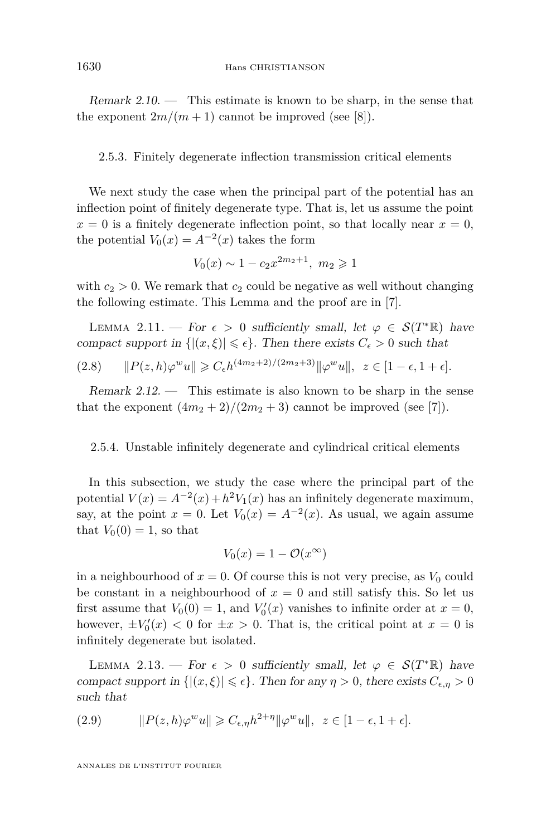<span id="page-14-0"></span>Remark  $2.10$ . — This estimate is known to be sharp, in the sense that the exponent  $2m/(m+1)$  cannot be improved (see [\[8\]](#page-29-0)).

2.5.3. Finitely degenerate inflection transmission critical elements

We next study the case when the principal part of the potential has an inflection point of finitely degenerate type. That is, let us assume the point  $x = 0$  is a finitely degenerate inflection point, so that locally near  $x = 0$ , the potential  $V_0(x) = A^{-2}(x)$  takes the form

$$
V_0(x) \sim 1 - c_2 x^{2m_2 + 1}, \ m_2 \geq 1
$$

with  $c_2 > 0$ . We remark that  $c_2$  could be negative as well without changing the following estimate. This Lemma and the proof are in [\[7\]](#page-29-0).

LEMMA 2.11. — For  $\epsilon > 0$  sufficiently small, let  $\varphi \in \mathcal{S}(T^*\mathbb{R})$  have compact support in  $\{|(x,\xi)| \leq \epsilon\}$ . Then there exists  $C_{\epsilon} > 0$  such that

$$
(2.8) \qquad \|P(z,h)\varphi^w u\| \geq C_{\epsilon} h^{(4m_2+2)/(2m_2+3)} \|\varphi^w u\|, \ \ z \in [1-\epsilon, 1+\epsilon].
$$

Remark  $2.12$ . — This estimate is also known to be sharp in the sense that the exponent  $(4m_2 + 2)/(2m_2 + 3)$  cannot be improved (see [\[7\]](#page-29-0)).

#### 2.5.4. Unstable infinitely degenerate and cylindrical critical elements

In this subsection, we study the case where the principal part of the potential  $V(x) = A^{-2}(x) + h^2 V_1(x)$  has an infinitely degenerate maximum, say, at the point  $x = 0$ . Let  $V_0(x) = A^{-2}(x)$ . As usual, we again assume that  $V_0(0) = 1$ , so that

$$
V_0(x) = 1 - \mathcal{O}(x^{\infty})
$$

in a neighbourhood of  $x = 0$ . Of course this is not very precise, as  $V_0$  could be constant in a neighbourhood of  $x = 0$  and still satisfy this. So let us first assume that  $V_0(0) = 1$ , and  $V'_0(x)$  vanishes to infinite order at  $x = 0$ , however,  $\pm V_0'(x) < 0$  for  $\pm x > 0$ . That is, the critical point at  $x = 0$  is infinitely degenerate but isolated.

LEMMA 2.13. — For  $\epsilon > 0$  sufficiently small, let  $\varphi \in \mathcal{S}(T^*\mathbb{R})$  have compact support in  $\{|(x,\xi)| \leq \epsilon\}$ . Then for any  $\eta > 0$ , there exists  $C_{\epsilon,n} > 0$ such that

(2.9) 
$$
||P(z,h)\varphi^w u|| \geq C_{\epsilon,\eta}h^{2+\eta}||\varphi^w u||, \ z \in [1-\epsilon, 1+\epsilon].
$$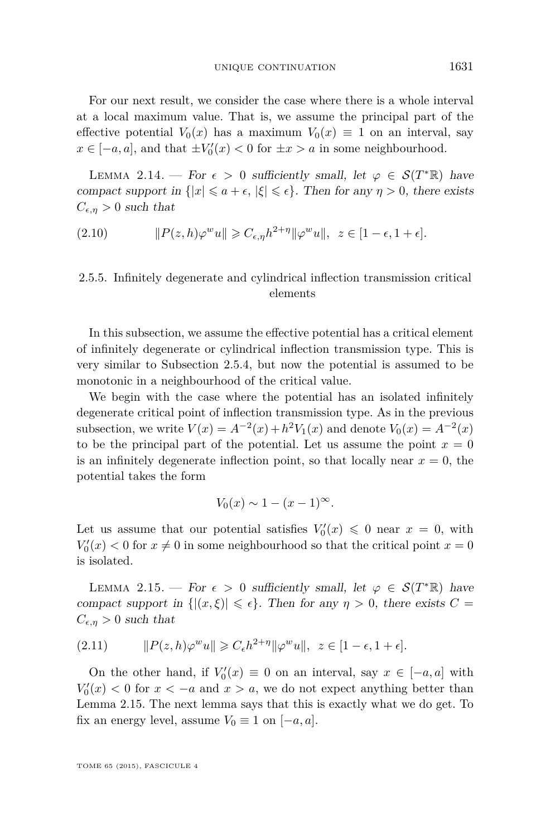For our next result, we consider the case where there is a whole interval at a local maximum value. That is, we assume the principal part of the effective potential  $V_0(x)$  has a maximum  $V_0(x) \equiv 1$  on an interval, say *x* ∈ [−*a*, *a*], and that  $\pm V'_0(x) < 0$  for  $\pm x > a$  in some neighbourhood.

LEMMA 2.14. — For  $\epsilon > 0$  sufficiently small, let  $\varphi \in \mathcal{S}(T^*\mathbb{R})$  have compact support in  $\{|x| \le a + \epsilon, |\xi| \le \epsilon\}$ . Then for any  $\eta > 0$ , there exists  $C_{\epsilon,\eta} > 0$  such that

$$
(2.10) \t\t\t ||P(z,h)\varphi^w u|| \geqslant C_{\epsilon,\eta}h^{2+\eta}||\varphi^w u||, \ z \in [1-\epsilon, 1+\epsilon].
$$

#### 2.5.5. Infinitely degenerate and cylindrical inflection transmission critical elements

In this subsection, we assume the effective potential has a critical element of infinitely degenerate or cylindrical inflection transmission type. This is very similar to Subsection [2.5.4,](#page-14-0) but now the potential is assumed to be monotonic in a neighbourhood of the critical value.

We begin with the case where the potential has an isolated infinitely degenerate critical point of inflection transmission type. As in the previous subsection, we write  $V(x) = A^{-2}(x) + h^2 V_1(x)$  and denote  $V_0(x) = A^{-2}(x)$ to be the principal part of the potential. Let us assume the point  $x = 0$ is an infinitely degenerate inflection point, so that locally near  $x = 0$ , the potential takes the form

$$
V_0(x) \sim 1 - (x - 1)^\infty.
$$

Let us assume that our potential satisfies  $V_0'(x) \leq 0$  near  $x = 0$ , with  $V_0'(x) < 0$  for  $x \neq 0$  in some neighbourhood so that the critical point  $x = 0$ is isolated.

LEMMA 2.15. — For  $\epsilon > 0$  sufficiently small, let  $\varphi \in \mathcal{S}(T^*\mathbb{R})$  have compact support in  $\{|(x,\xi)| \leq \epsilon\}$ . Then for any  $\eta > 0$ , there exists  $C =$  $C_{\epsilon,\eta} > 0$  such that

(2.11) 
$$
||P(z,h)\varphi^w u|| \geq C_{\epsilon} h^{2+\eta} ||\varphi^w u||, \ z \in [1-\epsilon, 1+\epsilon].
$$

On the other hand, if  $V_0'(x) \equiv 0$  on an interval, say  $x \in [-a, a]$  with  $V_0'(x) < 0$  for  $x < -a$  and  $x > a$ , we do not expect anything better than Lemma 2.15. The next lemma says that this is exactly what we do get. To fix an energy level, assume  $V_0 \equiv 1$  on  $[-a, a]$ .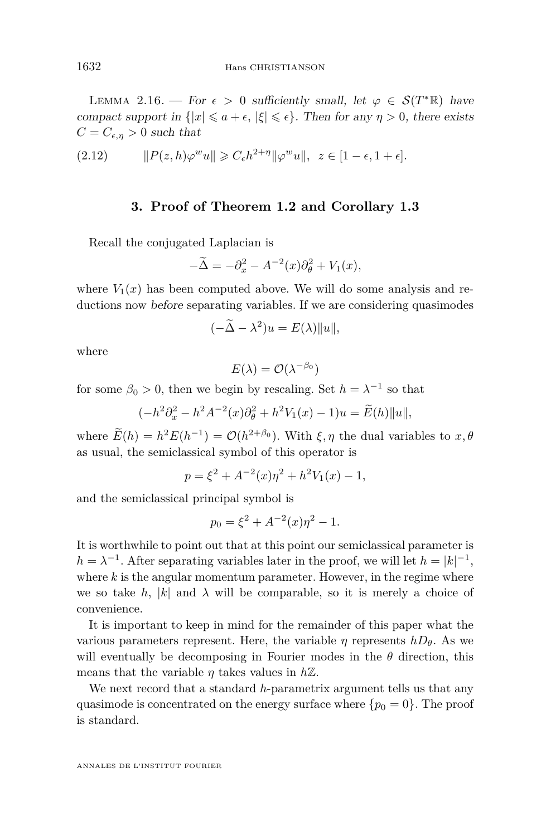<span id="page-16-0"></span>LEMMA 2.16. — For  $\epsilon > 0$  sufficiently small, let  $\varphi \in \mathcal{S}(T^*\mathbb{R})$  have compact support in  $\{|x| \le a + \epsilon, |\xi| \le \epsilon\}$ . Then for any  $\eta > 0$ , there exists  $C = C_{\epsilon,\eta} > 0$  such that

(2.12) 
$$
||P(z,h)\varphi^w u|| \geq C_{\epsilon}h^{2+\eta}||\varphi^w u||, \ z \in [1-\epsilon, 1+\epsilon].
$$

#### **3. Proof of Theorem [1.2](#page-4-0) and Corollary [1.3](#page-5-0)**

Recall the conjugated Laplacian is

$$
-\widetilde{\Delta} = -\partial_x^2 - A^{-2}(x)\partial_{\theta}^2 + V_1(x),
$$

where  $V_1(x)$  has been computed above. We will do some analysis and reductions now before separating variables. If we are considering quasimodes

$$
(-\widetilde{\Delta} - \lambda^2)u = E(\lambda) \|u\|,
$$

where

$$
E(\lambda) = \mathcal{O}(\lambda^{-\beta_0})
$$

for some  $\beta_0 > 0$ , then we begin by rescaling. Set  $h = \lambda^{-1}$  so that

 $(-h^2 \partial_x^2 - h^2 A^{-2}(x) \partial_\theta^2 + h^2 V_1(x) - 1)u = \widetilde{E}(h) \|u\|,$ 

where  $E(h) = h^2 E(h^{-1}) = \mathcal{O}(h^{2+\beta_0})$ . With  $\xi, \eta$  the dual variables to  $x, \theta$ as usual, the semiclassical symbol of this operator is

$$
p = \xi^2 + A^{-2}(x)\eta^2 + h^2V_1(x) - 1,
$$

and the semiclassical principal symbol is

$$
p_0 = \xi^2 + A^{-2}(x)\eta^2 - 1.
$$

It is worthwhile to point out that at this point our semiclassical parameter is  $h = \lambda^{-1}$ . After separating variables later in the proof, we will let  $h = |k|^{-1}$ , where  $k$  is the angular momentum parameter. However, in the regime where we so take h, |k| and  $\lambda$  will be comparable, so it is merely a choice of convenience.

It is important to keep in mind for the remainder of this paper what the various parameters represent. Here, the variable  $\eta$  represents  $hD_\theta$ . As we will eventually be decomposing in Fourier modes in the  $\theta$  direction, this means that the variable  $\eta$  takes values in  $h\mathbb{Z}$ .

We next record that a standard *h*-parametrix argument tells us that any quasimode is concentrated on the energy surface where  $\{p_0 = 0\}$ . The proof is standard.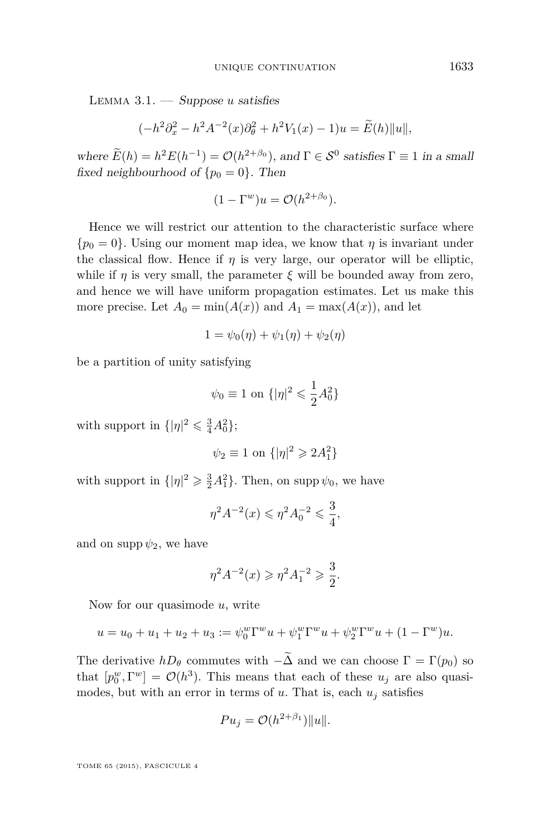<span id="page-17-0"></span>Lemma 3.1. — Suppose *u* satisfies

$$
(-h^2 \partial_x^2 - h^2 A^{-2}(x) \partial_{\theta}^2 + h^2 V_1(x) - 1)u = \widetilde{E}(h) \|u\|,
$$

where  $E(h) = h^2 E(h^{-1}) = \mathcal{O}(h^{2+\beta_0})$ , and  $\Gamma \in \mathcal{S}^0$  satisfies  $\Gamma \equiv 1$  in a small fixed neighbourhood of  $\{p_0 = 0\}$ . Then

$$
(1 - \Gamma^w)u = \mathcal{O}(h^{2 + \beta_0}).
$$

Hence we will restrict our attention to the characteristic surface where  ${p_0 = 0}$ . Using our moment map idea, we know that *η* is invariant under the classical flow. Hence if  $\eta$  is very large, our operator will be elliptic, while if *η* is very small, the parameter  $\xi$  will be bounded away from zero, and hence we will have uniform propagation estimates. Let us make this more precise. Let  $A_0 = \min(A(x))$  and  $A_1 = \max(A(x))$ , and let

$$
1 = \psi_0(\eta) + \psi_1(\eta) + \psi_2(\eta)
$$

be a partition of unity satisfying

$$
\psi_0 \equiv 1
$$
 on  $\{|\eta|^2 \leq \frac{1}{2}A_0^2\}$ 

with support in  $\{|\eta|^2 \leq \frac{3}{4}A_0^2\};$ 

$$
\psi_2 \equiv 1 \text{ on } \{|\eta|^2 \geq 2A_1^2\}
$$

with support in  $\{|\eta|^2 \geq \frac{3}{2}A_1^2\}$ . Then, on supp  $\psi_0$ , we have

$$
\eta^2 A^{-2}(x) \leq \eta^2 A_0^{-2} \leq \frac{3}{4},
$$

and on supp  $\psi_2$ , we have

$$
\eta^2 A^{-2}(x) \geqslant \eta^2 A_1^{-2} \geqslant \frac{3}{2}.
$$

Now for our quasimode *u*, write

$$
u = u_0 + u_1 + u_2 + u_3 := \psi_0^w \Gamma^w u + \psi_1^w \Gamma^w u + \psi_2^w \Gamma^w u + (1 - \Gamma^w) u.
$$

The derivative  $hD_\theta$  commutes with  $-\tilde{\Delta}$  and we can choose  $\Gamma = \Gamma(p_0)$  so that  $[p_0^w, \Gamma^w] = \mathcal{O}(h^3)$ . This means that each of these  $u_j$  are also quasimodes, but with an error in terms of  $u$ . That is, each  $u_j$  satisfies

$$
Pu_j = \mathcal{O}(h^{2+\beta_1})||u||.
$$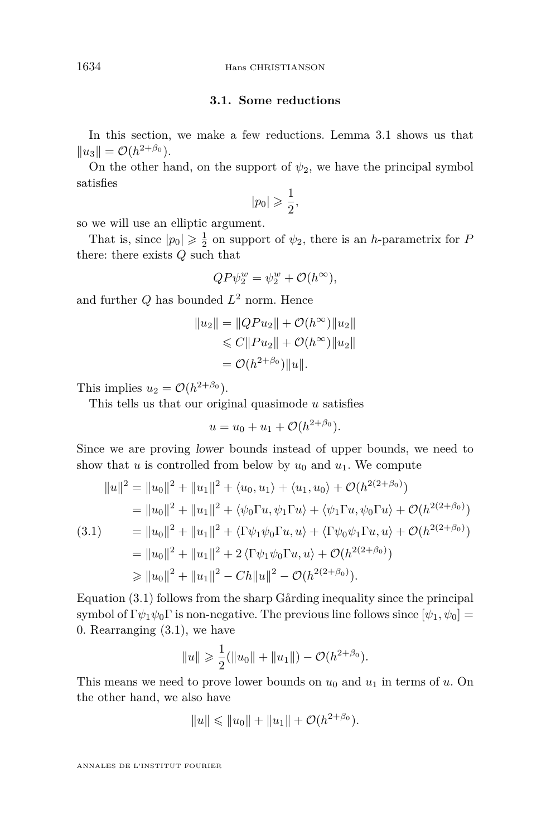#### **3.1. Some reductions**

In this section, we make a few reductions. Lemma [3.1](#page-17-0) shows us that  $||u_3|| = O(h^{2+\beta_0}).$ 

On the other hand, on the support of  $\psi_2$ , we have the principal symbol satisfies

$$
|p_0|\geqslant \frac{1}{2},
$$

so we will use an elliptic argument.

That is, since  $|p_0| \geq \frac{1}{2}$  on support of  $\psi_2$ , there is an *h*-parametrix for *P* there: there exists *Q* such that

$$
QP\psi_2^w = \psi_2^w + \mathcal{O}(h^{\infty}),
$$

and further *Q* has bounded *L* <sup>2</sup> norm. Hence

$$
||u_2|| = ||QPu_2|| + \mathcal{O}(h^{\infty})||u_2||
$$
  
\n
$$
\leq C||Pu_2|| + \mathcal{O}(h^{\infty})||u_2||
$$
  
\n
$$
= \mathcal{O}(h^{2+\beta_0})||u||.
$$

This implies  $u_2 = \mathcal{O}(h^{2+\beta_0}).$ 

This tells us that our original quasimode *u* satisfies

$$
u = u_0 + u_1 + \mathcal{O}(h^{2+\beta_0}).
$$

Since we are proving lower bounds instead of upper bounds, we need to show that *u* is controlled from below by  $u_0$  and  $u_1$ . We compute

$$
||u||^{2} = ||u_{0}||^{2} + ||u_{1}||^{2} + \langle u_{0}, u_{1} \rangle + \langle u_{1}, u_{0} \rangle + \mathcal{O}(h^{2(2+\beta_{0})})
$$
  
\n
$$
= ||u_{0}||^{2} + ||u_{1}||^{2} + \langle \psi_{0} \Gamma u, \psi_{1} \Gamma u \rangle + \langle \psi_{1} \Gamma u, \psi_{0} \Gamma u \rangle + \mathcal{O}(h^{2(2+\beta_{0})})
$$
  
\n(3.1) 
$$
= ||u_{0}||^{2} + ||u_{1}||^{2} + \langle \Gamma \psi_{1} \psi_{0} \Gamma u, u \rangle + \langle \Gamma \psi_{0} \psi_{1} \Gamma u, u \rangle + \mathcal{O}(h^{2(2+\beta_{0})})
$$
  
\n
$$
= ||u_{0}||^{2} + ||u_{1}||^{2} + 2 \langle \Gamma \psi_{1} \psi_{0} \Gamma u, u \rangle + \mathcal{O}(h^{2(2+\beta_{0})})
$$
  
\n
$$
\geq ||u_{0}||^{2} + ||u_{1}||^{2} - Ch||u||^{2} - \mathcal{O}(h^{2(2+\beta_{0})}).
$$

Equation (3.1) follows from the sharp Gårding inequality since the principal symbol of  $\Gamma \psi_1 \psi_0 \Gamma$  is non-negative. The previous line follows since  $[\psi_1, \psi_0] =$ 0. Rearranging (3.1), we have

$$
||u|| \geq \frac{1}{2} (||u_0|| + ||u_1||) - \mathcal{O}(h^{2+\beta_0}).
$$

This means we need to prove lower bounds on  $u_0$  and  $u_1$  in terms of  $u$ . On the other hand, we also have

$$
||u|| \le ||u_0|| + ||u_1|| + \mathcal{O}(h^{2+\beta_0}).
$$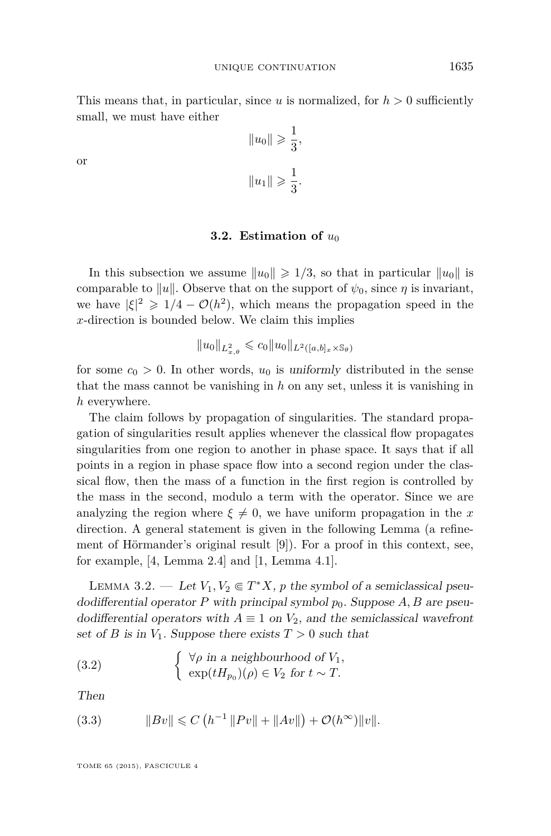<span id="page-19-0"></span>This means that, in particular, since  $u$  is normalized, for  $h > 0$  sufficiently small, we must have either

or

$$
||u_0|| \ge \frac{1}{3},
$$
  
 $||u_1|| \ge \frac{1}{3}.$ 

#### **3.2.** Estimation of  $u_0$

In this subsection we assume  $||u_0|| \geq 1/3$ , so that in particular  $||u_0||$  is comparable to  $||u||$ . Observe that on the support of  $\psi_0$ , since  $\eta$  is invariant, we have  $|\xi|^2 \geq 1/4 - \mathcal{O}(h^2)$ , which means the propagation speed in the *x*-direction is bounded below. We claim this implies

$$
||u_0||_{L^2_{x,\theta}} \leqslant c_0 ||u_0||_{L^2([a,b]_x \times \mathbb{S}_\theta)}
$$

for some  $c_0 > 0$ . In other words,  $u_0$  is uniformly distributed in the sense that the mass cannot be vanishing in *h* on any set, unless it is vanishing in *h* everywhere.

The claim follows by propagation of singularities. The standard propagation of singularities result applies whenever the classical flow propagates singularities from one region to another in phase space. It says that if all points in a region in phase space flow into a second region under the classical flow, then the mass of a function in the first region is controlled by the mass in the second, modulo a term with the operator. Since we are analyzing the region where  $\xi \neq 0$ , we have uniform propagation in the *x* direction. A general statement is given in the following Lemma (a refinement of Hörmander's original result [\[9\]](#page-29-0)). For a proof in this context, see, for example, [\[4,](#page-28-0) Lemma 2.4] and [\[1,](#page-28-0) Lemma 4.1].

LEMMA 3.2. — Let  $V_1, V_2 \in T^*X$ , *p* the symbol of a semiclassical pseudodifferential operator P with principal symbol  $p_0$ . Suppose A, B are pseudodifferential operators with  $A \equiv 1$  on  $V_2$ , and the semiclassical wavefront set of *B* is in  $V_1$ . Suppose there exists  $T > 0$  such that

(3.2) 
$$
\begin{cases} \forall \rho \text{ in a neighbourhood of } V_1, \\ \exp(tH_{p_0})(\rho) \in V_2 \text{ for } t \sim T. \end{cases}
$$

Then

(3.3) 
$$
||Bv|| \leq C (h^{-1} ||Pv|| + ||Av||) + O(h^{\infty}) ||v||.
$$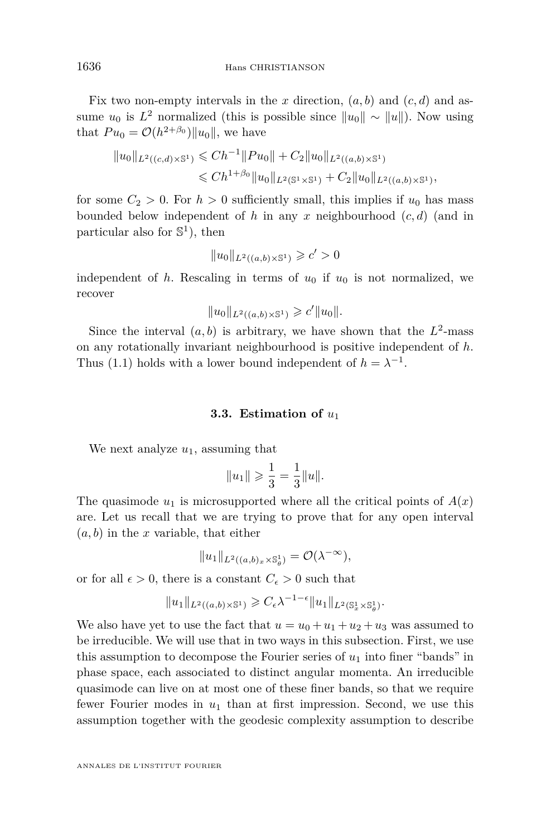<span id="page-20-0"></span>Fix two non-empty intervals in the  $x$  direction,  $(a, b)$  and  $(c, d)$  and assume  $u_0$  is  $L^2$  normalized (this is possible since  $||u_0|| \sim ||u||$ ). Now using that  $Pu_0 = O(h^{2+\beta_0})||u_0||$ , we have

$$
||u_0||_{L^2((c,d)\times\mathbb{S}^1)} \leq C h^{-1} ||Pu_0|| + C_2 ||u_0||_{L^2((a,b)\times\mathbb{S}^1)}
$$
  

$$
\leq C h^{1+\beta_0} ||u_0||_{L^2(\mathbb{S}^1\times\mathbb{S}^1)} + C_2 ||u_0||_{L^2((a,b)\times\mathbb{S}^1)},
$$

for some  $C_2 > 0$ . For  $h > 0$  sufficiently small, this implies if  $u_0$  has mass bounded below independent of *h* in any *x* neighbourhood (*c, d*) (and in particular also for  $\mathbb{S}^1$ ), then

$$
||u_0||_{L^2((a,b)\times\mathbb{S}^1)} \geqslant c' > 0
$$

independent of  $h$ . Rescaling in terms of  $u_0$  if  $u_0$  is not normalized, we recover

$$
||u_0||_{L^2((a,b)\times\mathbb{S}^1)} \geq c'||u_0||.
$$

Since the interval  $(a, b)$  is arbitrary, we have shown that the  $L^2$ -mass on any rotationally invariant neighbourhood is positive independent of *h*. Thus [\(1.1\)](#page-4-0) holds with a lower bound independent of  $h = \lambda^{-1}$ .

#### **3.3. Estimation of** *u*<sup>1</sup>

We next analyze  $u_1$ , assuming that

$$
||u_1|| \geqslant \frac{1}{3} = \frac{1}{3} ||u||.
$$

The quasimode  $u_1$  is microsupported where all the critical points of  $A(x)$ are. Let us recall that we are trying to prove that for any open interval (*a, b*) in the *x* variable, that either

$$
||u_1||_{L^2((a,b)_x\times\mathbb{S}^1_\theta)}=\mathcal{O}(\lambda^{-\infty}),
$$

or for all  $\epsilon > 0$ , there is a constant  $C_{\epsilon} > 0$  such that

$$
||u_1||_{L^2((a,b)\times\mathbb{S}^1)} \geqslant C_{\epsilon}\lambda^{-1-\epsilon}||u_1||_{L^2(\mathbb{S}^1_x\times\mathbb{S}^1_{\theta})}.
$$

We also have yet to use the fact that  $u = u_0 + u_1 + u_2 + u_3$  was assumed to be irreducible. We will use that in two ways in this subsection. First, we use this assumption to decompose the Fourier series of *u*<sup>1</sup> into finer "bands" in phase space, each associated to distinct angular momenta. An irreducible quasimode can live on at most one of these finer bands, so that we require fewer Fourier modes in *u*<sup>1</sup> than at first impression. Second, we use this assumption together with the geodesic complexity assumption to describe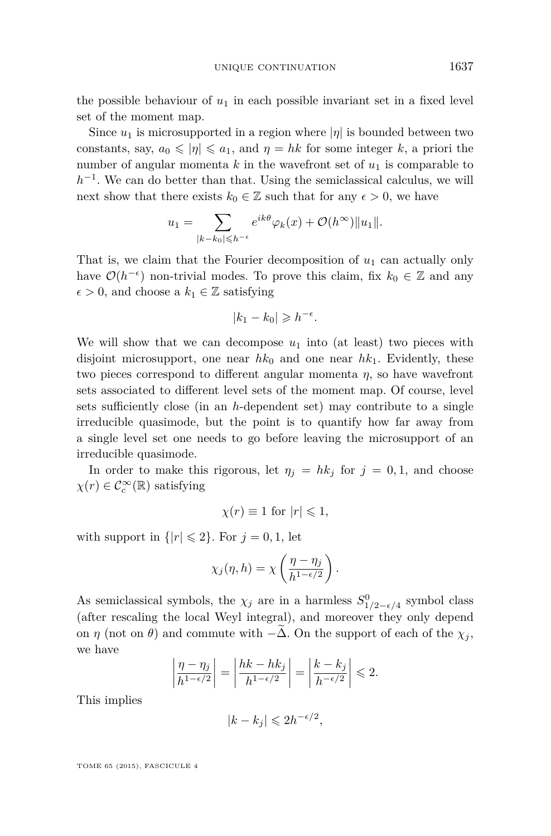the possible behaviour of  $u_1$  in each possible invariant set in a fixed level set of the moment map.

Since  $u_1$  is microsupported in a region where  $|\eta|$  is bounded between two constants, say,  $a_0 \leqslant |\eta| \leqslant a_1$ , and  $\eta = hk$  for some integer k, a priori the number of angular momenta  $k$  in the wavefront set of  $u_1$  is comparable to  $h^{-1}$ . We can do better than that. Using the semiclassical calculus, we will next show that there exists  $k_0 \in \mathbb{Z}$  such that for any  $\epsilon > 0$ , we have

$$
u_1 = \sum_{|k-k_0| \leqslant h^{-\epsilon}} e^{ik\theta} \varphi_k(x) + \mathcal{O}(h^{\infty}) \|u_1\|.
$$

That is, we claim that the Fourier decomposition of *u*<sup>1</sup> can actually only have  $\mathcal{O}(h^{-\epsilon})$  non-trivial modes. To prove this claim, fix  $k_0 \in \mathbb{Z}$  and any  $\epsilon > 0$ , and choose a  $k_1 \in \mathbb{Z}$  satisfying

$$
|k_1 - k_0| \geqslant h^{-\epsilon}.
$$

We will show that we can decompose  $u_1$  into (at least) two pieces with disjoint microsupport, one near  $hk_0$  and one near  $hk_1$ . Evidently, these two pieces correspond to different angular momenta *η*, so have wavefront sets associated to different level sets of the moment map. Of course, level sets sufficiently close (in an *h*-dependent set) may contribute to a single irreducible quasimode, but the point is to quantify how far away from a single level set one needs to go before leaving the microsupport of an irreducible quasimode.

In order to make this rigorous, let  $\eta_j = hk_j$  for  $j = 0, 1$ , and choose  $\chi(r) \in \mathcal{C}_c^{\infty}(\mathbb{R})$  satisfying

$$
\chi(r) \equiv 1 \text{ for } |r| \leq 1,
$$

with support in  $\{|r| \leq 2\}$ . For  $j = 0, 1$ , let

$$
\chi_j(\eta, h) = \chi\left(\frac{\eta - \eta_j}{h^{1 - \epsilon/2}}\right).
$$

As semiclassical symbols, the  $\chi_j$  are in a harmless  $S^0_{1/2-\epsilon/4}$  symbol class (after rescaling the local Weyl integral), and moreover they only depend on *η* (not on *θ*) and commute with  $-\Delta$ . On the support of each of the  $\chi_i$ , we have

$$
\left|\frac{\eta-\eta_j}{h^{1-\epsilon/2}}\right| = \left|\frac{hk-hk_j}{h^{1-\epsilon/2}}\right| = \left|\frac{k-k_j}{h^{-\epsilon/2}}\right| \leq 2.
$$

This implies

$$
|k - k_j| \leq 2h^{-\epsilon/2},
$$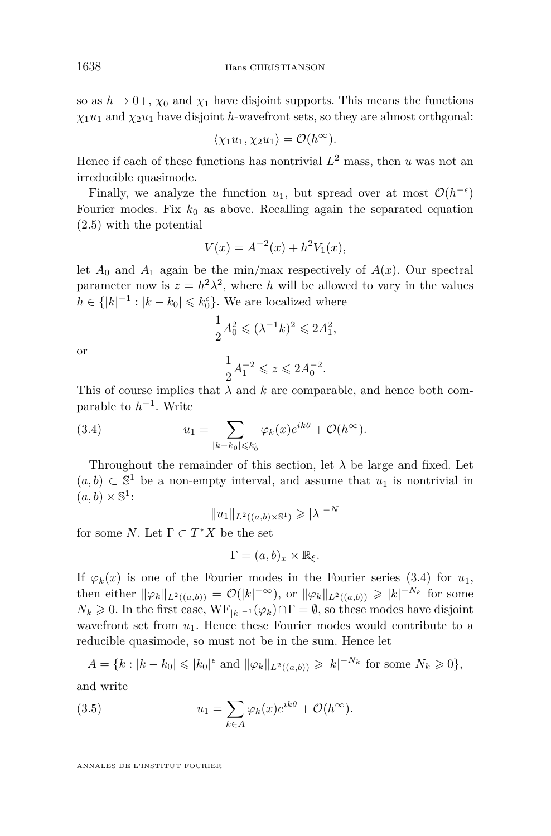so as  $h \to 0^+, \chi_0$  and  $\chi_1$  have disjoint supports. This means the functions  $\chi_1 u_1$  and  $\chi_2 u_1$  have disjoint *h*-wavefront sets, so they are almost orthgonal:

$$
\langle \chi_1 u_1, \chi_2 u_1 \rangle = \mathcal{O}(h^{\infty}).
$$

Hence if each of these functions has nontrivial  $L^2$  mass, then *u* was not an irreducible quasimode.

Finally, we analyze the function  $u_1$ , but spread over at most  $\mathcal{O}(h^{-\epsilon})$ Fourier modes. Fix  $k_0$  as above. Recalling again the separated equation [\(2.5\)](#page-12-0) with the potential

$$
V(x) = A^{-2}(x) + h^2 V_1(x),
$$

let  $A_0$  and  $A_1$  again be the min/max respectively of  $A(x)$ . Our spectral parameter now is  $z = h^2 \lambda^2$ , where *h* will be allowed to vary in the values  $h \in \{ |k|^{-1} : |k - k_0| \leq k_0^{\epsilon} \}.$  We are localized where

$$
\frac{1}{2}A_0^2 \le (\lambda^{-1}k)^2 \le 2A_1^2,
$$

or

$$
\frac{1}{2}A_1^{-2} \leqslant z \leqslant 2A_0^{-2}.
$$

This of course implies that  $\lambda$  and  $k$  are comparable, and hence both comparable to  $h^{-1}$ . Write

(3.4) 
$$
u_1 = \sum_{|k-k_0| \leqslant k_0^{\epsilon}} \varphi_k(x) e^{ik\theta} + \mathcal{O}(h^{\infty}).
$$

Throughout the remainder of this section, let  $\lambda$  be large and fixed. Let  $(a, b)$  ⊂ S<sup>1</sup> be a non-empty interval, and assume that  $u_1$  is nontrivial in  $(a, b) \times \mathbb{S}^1$ :

 $||u_1||_{L^2((a,b)\times\mathbb{S}^1)} \ge |\lambda|^{-N}$ 

for some *N*. Let  $\Gamma \subset T^*X$  be the set

$$
\Gamma = (a, b)_x \times \mathbb{R}_{\xi}.
$$

If  $\varphi_k(x)$  is one of the Fourier modes in the Fourier series (3.4) for  $u_1$ , then either  $\|\varphi_k\|_{L^2((a,b))} = \mathcal{O}(|k|^{-\infty})$ , or  $\|\varphi_k\|_{L^2((a,b))} \geqslant |k|^{-N_k}$  for some  $N_k \geq 0$ . In the first case,  $W\mathbf{F}_{|k|=1}(\varphi_k) \cap \Gamma = \emptyset$ , so these modes have disjoint wavefront set from  $u_1$ . Hence these Fourier modes would contribute to a reducible quasimode, so must not be in the sum. Hence let

$$
A = \{k : |k - k_0| \leq |k_0|^{\epsilon} \text{ and } \|\varphi_k\|_{L^2((a,b))} \geq |k|^{-N_k} \text{ for some } N_k \geq 0\},\
$$

and write

(3.5) 
$$
u_1 = \sum_{k \in A} \varphi_k(x) e^{ik\theta} + \mathcal{O}(h^{\infty}).
$$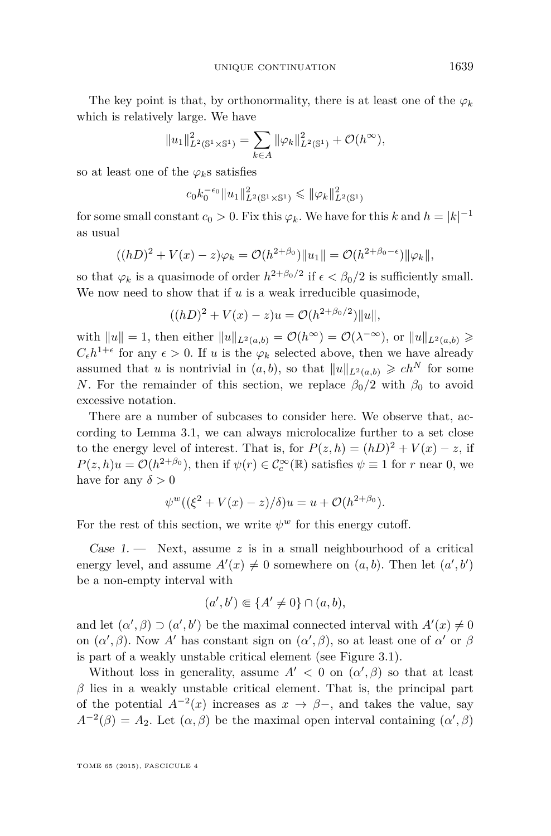The key point is that, by orthonormality, there is at least one of the  $\varphi_k$ which is relatively large. We have

$$
||u_1||_{L^2(\mathbb{S}^1 \times \mathbb{S}^1)}^2 = \sum_{k \in A} ||\varphi_k||_{L^2(\mathbb{S}^1)}^2 + \mathcal{O}(h^{\infty}),
$$

so at least one of the  $\varphi_k$ s satisfies

$$
c_0 k_0^{-\epsilon_0} \|u_1\|_{L^2(\mathbb{S}^1 \times \mathbb{S}^1)}^2 \le \|\varphi_k\|_{L^2(\mathbb{S}^1)}^2
$$

for some small constant  $c_0 > 0$ . Fix this  $\varphi_k$ . We have for this *k* and  $h = |k|^{-1}$ as usual

$$
((hD)^{2} + V(x) - z)\varphi_{k} = \mathcal{O}(h^{2+\beta_{0}})||u_{1}|| = \mathcal{O}(h^{2+\beta_{0}-\epsilon})||\varphi_{k}||,
$$

so that  $\varphi_k$  is a quasimode of order  $h^{2+\beta_0/2}$  if  $\epsilon < \beta_0/2$  is sufficiently small. We now need to show that if *u* is a weak irreducible quasimode,

$$
((hD)^{2} + V(x) - z)u = \mathcal{O}(h^{2+\beta_{0}/2})||u||,
$$

with  $||u|| = 1$ , then either  $||u||_{L^2(a,b)} = \mathcal{O}(h^{\infty}) = \mathcal{O}(\lambda^{-\infty})$ , or  $||u||_{L^2(a,b)} \geq$  $C_{\epsilon}h^{1+\epsilon}$  for any  $\epsilon > 0$ . If *u* is the  $\varphi_k$  selected above, then we have already assumed that *u* is nontrivial in  $(a, b)$ , so that  $||u||_{L^2(a,b)} \geq c h^N$  for some *N*. For the remainder of this section, we replace  $\beta_0/2$  with  $\beta_0$  to avoid excessive notation.

There are a number of subcases to consider here. We observe that, according to Lemma [3.1,](#page-17-0) we can always microlocalize further to a set close to the energy level of interest. That is, for  $P(z, h) = (hD)^2 + V(x) - z$ , if  $P(z, h)u = \mathcal{O}(h^{2+\beta_0})$ , then if  $\psi(r) \in C_c^{\infty}(\mathbb{R})$  satisfies  $\psi \equiv 1$  for *r* near 0, we have for any  $\delta > 0$ 

$$
\psi^{w}((\xi^{2} + V(x) - z)/\delta)u = u + \mathcal{O}(h^{2+\beta_{0}}).
$$

For the rest of this section, we write  $\psi^w$  for this energy cutoff.

Case  $1.$  — Next, assume  $z$  is in a small neighbourhood of a critical energy level, and assume  $A'(x) \neq 0$  somewhere on  $(a, b)$ . Then let  $(a', b')$ be a non-empty interval with

$$
(a',b') \in \{A' \neq 0\} \cap (a,b),
$$

and let  $(\alpha', \beta) \supset (\alpha', b')$  be the maximal connected interval with  $A'(x) \neq 0$ on  $(\alpha', \beta)$ . Now *A'* has constant sign on  $(\alpha', \beta)$ , so at least one of  $\alpha'$  or  $\beta$ is part of a weakly unstable critical element (see Figure [3.1\)](#page-24-0).

Without loss in generality, assume  $A' < 0$  on  $(\alpha', \beta)$  so that at least  $\beta$  lies in a weakly unstable critical element. That is, the principal part of the potential  $A^{-2}(x)$  increases as  $x \to \beta$ -, and takes the value, say  $A^{-2}(\beta) = A_2$ . Let  $(\alpha, \beta)$  be the maximal open interval containing  $(\alpha', \beta)$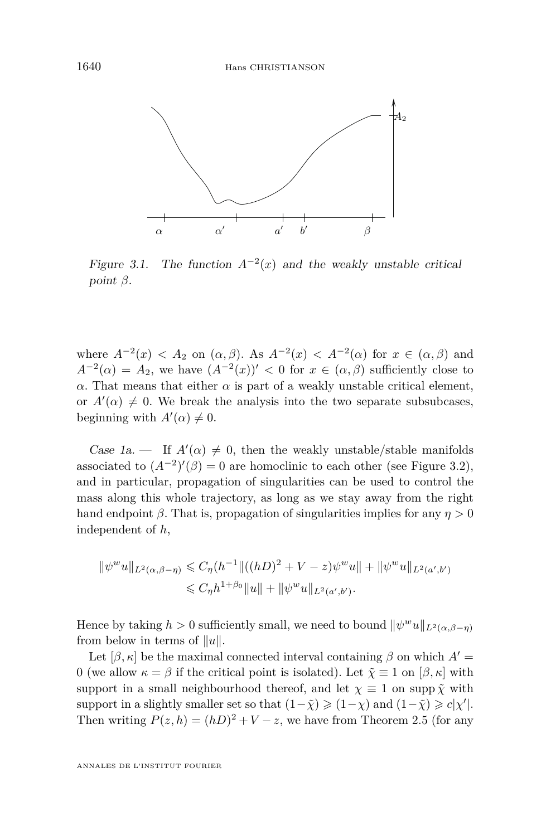<span id="page-24-0"></span>

Figure 3.1. The function  $A^{-2}(x)$  and the weakly unstable critical point β. point *β*.

where  $A^{-2}(x) < A_2$  on  $(\alpha, \beta)$ . As  $A^{-2}(x) < A^{-2}(\alpha)$  for  $x \in (\alpha, \beta)$  and  $A^{-2}(\alpha) = A_2$ , we have  $(A^{-2}(x))' < 0$  for  $x \in (\alpha, \beta)$  sufficiently close to  $\alpha$ . That means that either  $\alpha$  is part of a weakly unstable critical element, or  $A'(\alpha) \neq 0$ . We break the analysis into the two separate subsubcases, beginning with  $A'(\alpha) \neq 0$ .

Case 1a. — If  $A'(\alpha) \neq 0$ , then the weakly unstable/stable manifolds associated to  $(A^{-2})'(\beta) = 0$  are homoclinic to each other (see Figure [3.2\)](#page-25-0), and in particular, propagation of singularities can be used to control the mass along this whole trajectory, as long as we stay away from the right hand endpoint *β*. That is, propagation of singularities implies for any  $\eta > 0$ independent of *h*,

$$
\|\psi^w u\|_{L^2(\alpha,\beta-\eta)} \leq C_{\eta}(h^{-1} \|((hD)^2 + V - z)\psi^w u\| + \|\psi^w u\|_{L^2(a',b')}
$$

$$
\leq C_{\eta}h^{1+\beta_0} \|u\| + \|\psi^w u\|_{L^2(a',b')}.
$$

Hence by taking  $h > 0$  sufficiently small, we need to bound  $\|\psi^w u\|_{L^2(\alpha,\beta-\eta)}$ from below in terms of  $||u||$ .  $\frac{1}{2}$  below in terms or  $||u||$ .

Let  $[\beta, \kappa]$  be the maximal connected interval containing  $\beta$  on which  $A' =$ <br>
Let  $\tilde{\kappa} = 1$  on  $[\beta, \kappa]$  with 0 (we allow  $κ = β$  if the critical point is isolated). Let  $\tilde{\chi} \equiv 1$  on  $[β, κ]$  with support in a small neighbourhood thereof, and let  $\chi \equiv 1$  on supp  $\tilde{\chi}$  with support in a slightly smaller set so that  $(1-\tilde{\chi}) \geqslant (1-\chi)$  and  $(1-\tilde{\chi}) \geqslant c|\chi'|$ . Then writing  $P(z, h) = (hD)^2 + V - z$ , we have from Theorem [2.5](#page-12-0) (for any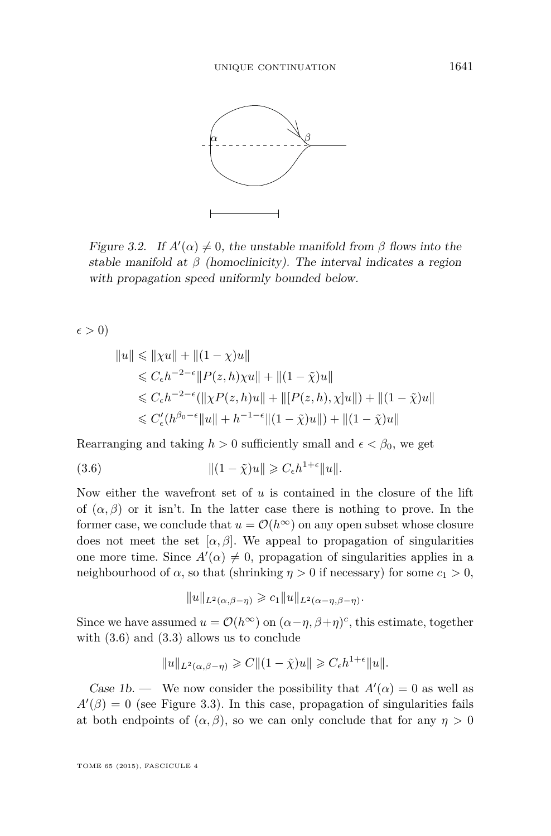<span id="page-25-0"></span>

Figure 3.2. If  $A'(\alpha) \neq 0$ , the unstable manifold from  $\beta$  flows into the stable manifold at β (homoclinicity). The interval indicates a region stable manifold at *β* (homoclinicity). The interval indicates a region with propagation speed uniformly bounded below.

 $\epsilon > 0$ 

$$
||u|| \le ||\chi u|| + ||(1 - \chi)u||
$$
  
\n
$$
\le C_{\epsilon} h^{-2-\epsilon} ||P(z, h)\chi u|| + ||(1 - \tilde{\chi})u||
$$
  
\n
$$
\le C_{\epsilon} h^{-2-\epsilon} (||\chi P(z, h)u|| + ||[P(z, h), \chi]u||) + ||(1 - \tilde{\chi})u||
$$
  
\n
$$
\le C'_{\epsilon} (h^{\beta_0 - \epsilon} ||u|| + h^{-1-\epsilon} ||(1 - \tilde{\chi})u||) + ||(1 - \tilde{\chi})u||
$$

Rearranging and taking  $h > 0$  sufficiently small and  $\epsilon < \beta_0$ , we get

$$
||(1 - \tilde{\chi})u|| \geqslant C_{\epsilon}h^{1+\epsilon}||u||.
$$

Now either the wavefront set of *u* is contained in the closure of the lift of  $(\alpha, \beta)$  or it isn't. In the latter case there is nothing to prove. In the former case, we conclude that  $u = \mathcal{O}(h^{\infty})$  on any open subset whose closure does not meet the set  $[\alpha, \beta]$ . We appeal to propagation of singularities neighbourhood of *α*, so that (shrinking *η* > 0 if necessary) for some *c*<sub>1</sub> > 0, one more time. Since  $A'(\alpha) \neq 0$ , propagation of singularities applies in a

$$
||u||_{L^2(\alpha,\beta-\eta)} \geqslant c_1 ||u||_{L^2(\alpha-\eta,\beta-\eta)}.
$$

Since we have assumed  $u = \mathcal{O}(h^{\infty})$  on  $(\alpha - \eta, \beta + \eta)^{c}$ , this estimate, together with  $(3.6)$  and  $(3.3)$  allows us to conclude

$$
||u||_{L^2(\alpha,\beta-\eta)} \geqslant C||(1-\tilde{\chi})u|| \geqslant C_\epsilon h^{1+\epsilon}||u||.
$$

Case 1b. — We now consider the possibility that  $A'(\alpha) = 0$  as well as  $A(\beta) = 0$  (see Figure 3.3). In this case, propagation of singularities fails at both endpoints of  $(\alpha, \beta)$ , so we can only conclude that for any  $\eta > 0$  $A'(\beta) = 0$  (see Figure [3.3\)](#page-26-0). In this case, propagation of singularities fails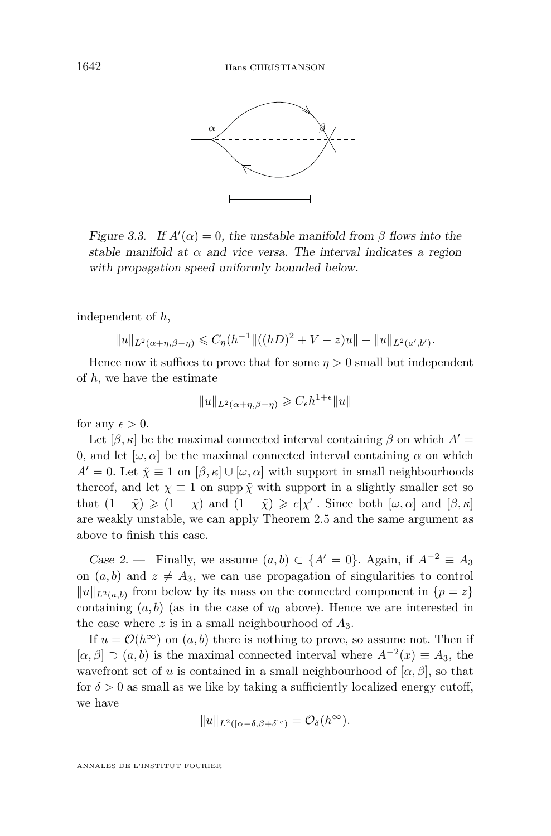<span id="page-26-0"></span>

Figure 3.3. If A-(α) = 0, the unstable manifold from β flows into the Figure 3.3. If  $A'(\alpha) = 0$ , the unstable manifold from *β* flows into the stable manifold at  $\alpha$  and vice versa. The interval indicates a region with propagation speed uniformly bounded below.

independent of  $h$ ,  $\mathbf{r}$ 

$$
||u||_{L^{2}(\alpha+\eta,\beta-\eta)} \leq C_{\eta}(h^{-1}||((hD)^{2}+V-z)u||+||u||_{L^{2}(\alpha',b')}.
$$

Hence now it suffices to prove that for some  $\eta > 0$  small but independent of *h*, we have the estimate

$$
||u||_{L^2(\alpha+\eta,\beta-\eta)} \geqslant C_\epsilon h^{1+\epsilon}||u||
$$

for any  $\epsilon > 0$ .

 $\epsilon > 0.$ Let  $[\beta, \kappa]$  be the maximal connected interval containing  $\beta$  on which  $A'$  = 0, and let  $[\omega, \alpha]$  be the maximal connected interval containing  $\alpha$  on which  $A' = 0$ . Let  $\tilde{\chi} \equiv 1$  on  $[\beta, \kappa] \cup [\omega, \alpha]$  with support in small neighbourhoods thereof, and let  $\chi \equiv 1$  on supp  $\tilde{\chi}$  with support in a slightly smaller set so that  $(1 - \tilde{\chi}) \geqslant (1 - \chi)$  and  $(1 - \tilde{\chi}) \geqslant c|\chi'|$ . Since both  $[\omega, \alpha]$  and  $[\beta, \kappa]$ are weakly unstable, we can apply Theorem 2.5 and the same argument as above to finish this case.

containing (a, b) (as in the case of u<sup>0</sup> above). Hence we are interested in Case 2. — Finally, we assume  $(a, b) \subset \{A' = 0\}$ . Again, if  $A^{-2} \equiv A_3$ on  $(a, b)$  and  $z \neq A_3$ , we can use propagation of singularities to control  $||u||_{L^2(a,b)}$  from below by its mass on the connected component in  $\{p = z\}$ containing  $(a, b)$  (as in the case of  $u_0$  above). Hence we are interested in the case where  $z$  is in a small neighbourhood of  $A_3$ .

If  $u = \mathcal{O}(h^{\infty})$  on  $(a, b)$  there is nothing to prove, so assume not. Then if  $[u, \beta] \supset (u, \sigma)$  is the maximal connected metric  $\Lambda^*(x) = \Lambda_3$ , the wavefront set of *u* is contained in a small neighbourhood of  $[\alpha, \beta]$ , so that for  $\delta > 0$  as small as we like by taking a sufficiently localized energy cutoff,  $\mathbb{I}_2$ u- $[\alpha, \beta] \supset (a, b)$  is the maximal connected interval where  $A^{-2}(x) \equiv A_3$ , the we have

$$
||u||_{L^2([\alpha-\delta,\beta+\delta]^c)} = \mathcal{O}_{\delta}(h^{\infty}).
$$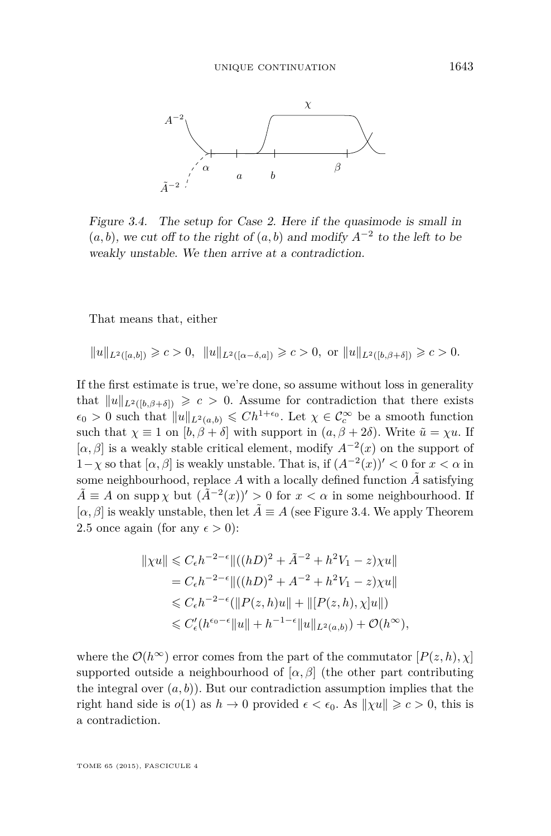

Figure 3.4. The setup for Case 2. Here if the quasimode is small in Figure 3.4. The setup for Case 2. Here if the quasimode is small in  $(a, b)$ , we cut off to the right of  $(a, b)$  and modify  $A^{-2}$  to the left to be weakly unstable. We then arrive at a contradiction. weakly unstable. We then arrive at a contradiction.

 $\Gamma$   $\Gamma$ <sup>1</sup>  $\Gamma$ <sup>1</sup>  $\Gamma$ <sup>1</sup>  $\Gamma$ <sup>1</sup>  $\Gamma$ <sup>1</sup>  $\Gamma$ <sup>1</sup>  $\Gamma$ <sup>1</sup>  $\Gamma$ <sup>1</sup>  $\Gamma$ <sup>1</sup>  $\Gamma$ <sup>1</sup>  $\Gamma$ <sup>1</sup>  $\Gamma$ <sup>1</sup>  $\Gamma$ <sup>1</sup>  $\Gamma$ <sup>1</sup>  $\Gamma$ <sup>1</sup>  $\Gamma$ <sup>1</sup>  $\Gamma$ <sup>1</sup>  $\Gamma$ <sup>1</sup>  $\Gamma$ <sup>1</sup>  $\Gamma$ <sup>1</sup>  $\Gamma$ <sup>1</sup>  $\Gamma$ <sup>1</sup>  $\Gamma$ <sup>1</sup>  $\Gamma$ <sup>1</sup>  $\Gamma$ <sup>1</sup>  $\Gamma$ <sup>1</sup> $\Gamma$  $\Gamma$ That means that, either  $P(\text{other})$ 

$$
||u||_{L^2([a,b])} \geq c > 0, \quad ||u||_{L^2([\alpha-\delta,a])} \geq c > 0, \text{ or } ||u||_{L^2([b,\beta+\delta])} \geq c > 0.
$$

 $1/3<\frac{1}{2}$  is weakly unstable. That is, if  $\alpha$  is weakly unstable. That is, if  $\alpha$ If the first estimate is true, we're done, so assume without loss in generality that  $||u||_{L^2([b,\beta+\delta])} \geqslant c > 0$ . Assume for contradiction that there exists  $\epsilon_0 > 0$  such that  $||u||_{L^2(a,b)} \leq C h^{1+\epsilon_0}$ . Let  $\chi \in C_c^{\infty}$  be a smooth function such that  $\chi \equiv 1$  on  $[b, \beta + \delta]$  with support in  $(a, \beta + 2\delta)$ . Write  $\tilde{u} = \chi u$ . If  $[\alpha, \beta]$  is a weakly stable critical element, modify  $A^{-1}(x)$  on the support of  $1-\chi$  so that  $[\alpha, \beta]$  is weakly unstable. That is, if  $(A^{-2}(x))' < 0$  for  $x < \alpha$  in  $[\alpha, \beta]$  is a weakly stable critical element, modify  $A^{-2}(x)$  on the support of some neighbourhood, replace *A* with a locally defined function  $\tilde{A}$  satisfying  $\tilde{A} \equiv A$  on supp  $\chi$  but  $(\tilde{A}^{-2}(x))' > 0$  for  $x < \alpha$  in some neighbourhood. If  $[\alpha, \beta]$  is weakly unstable, then let  $\tilde{A} \equiv A$  (see Figure 3.4. We apply Theorem  $\frac{1}{2}$  error comes from the computation  $\frac{1}{2}$ [2.5](#page-12-0) once again (for any  $\epsilon > 0$ ):

$$
||\chi u|| \leq C_{\epsilon} h^{-2-\epsilon} ||((hD)^2 + \tilde{A}^{-2} + h^2 V_1 - z)\chi u||
$$
  
=  $C_{\epsilon} h^{-2-\epsilon} ||((hD)^2 + A^{-2} + h^2 V_1 - z)\chi u||$   
 $\leq C_{\epsilon} h^{-2-\epsilon} (||P(z, h)u|| + ||[P(z, h), \chi]u||)$   
 $\leq C'_{\epsilon} (h^{\epsilon_0-\epsilon} ||u|| + h^{-1-\epsilon} ||u||_{L^2(a,b)}) + \mathcal{O}(h^{\infty}),$ 

where the  $\mathcal{O}(h^{\infty})$  error comes from the part of the commutator  $[P(z, h), \chi]$ supported outside a neighbourhood of  $[\alpha, \beta]$  (the other part contributing that the supported outside a neighbourhood of  $[\alpha, \beta]$  (the other part contributing the integral over  $(a, b)$ ). But our contradiction assumption implies that the wink theories that is  $\alpha$ right hand side is  $o(1)$  as  $h \to 0$  provided  $\epsilon < \epsilon_0$ . As  $\|\chi u\| \geq c > 0$ , this is a contradiction.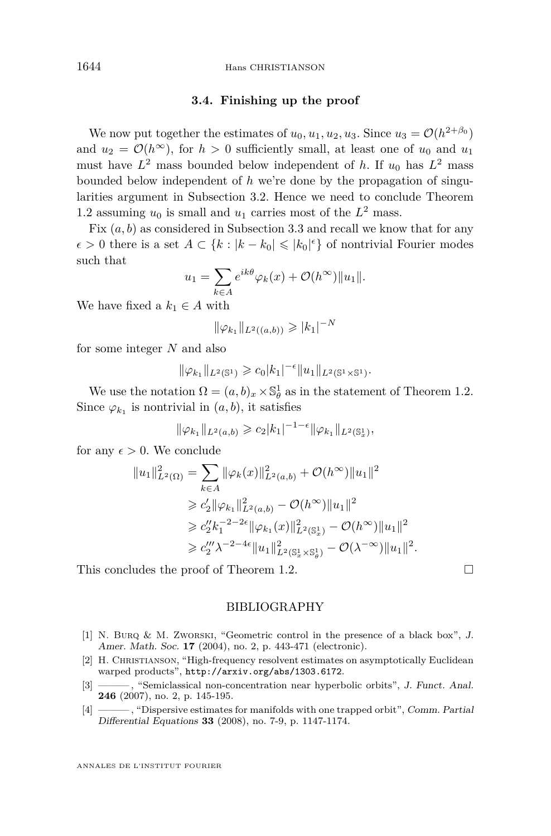#### **3.4. Finishing up the proof**

<span id="page-28-0"></span>We now put together the estimates of  $u_0, u_1, u_2, u_3$ . Since  $u_3 = \mathcal{O}(h^{2+\beta_0})$ and  $u_2 = \mathcal{O}(h^{\infty})$ , for  $h > 0$  sufficiently small, at least one of  $u_0$  and  $u_1$ must have  $L^2$  mass bounded below independent of *h*. If  $u_0$  has  $L^2$  mass bounded below independent of *h* we're done by the propagation of singularities argument in Subsection [3.2.](#page-19-0) Hence we need to conclude Theorem [1.2](#page-4-0) assuming  $u_0$  is small and  $u_1$  carries most of the  $L^2$  mass.

Fix  $(a, b)$  as considered in Subsection [3.3](#page-20-0) and recall we know that for any  $\epsilon$  > 0 there is a set *A* ⊂ {*k* : |*k* − *k*<sub>0</sub>| ≤ |*k*<sub>0</sub>|<sup> $\epsilon$ </sup>} of nontrivial Fourier modes such that

$$
u_1 = \sum_{k \in A} e^{ik\theta} \varphi_k(x) + \mathcal{O}(h^{\infty}) ||u_1||.
$$

We have fixed a  $k_1 \in A$  with

$$
\|\varphi_{k_1}\|_{L^2((a,b))} \geqslant |k_1|^{-N}
$$

for some integer *N* and also

$$
\|\varphi_{k_1}\|_{L^2(\mathbb{S}^1)} \geq c_0 |k_1|^{-\epsilon} \|u_1\|_{L^2(\mathbb{S}^1 \times \mathbb{S}^1)}.
$$

We use the notation  $\Omega = (a, b)_x \times \mathbb{S}_{\theta}^1$  as in the statement of Theorem [1.2.](#page-4-0) Since  $\varphi_{k_1}$  is nontrivial in  $(a, b)$ , it satisfies

$$
\|\varphi_{k_1}\|_{L^2(a,b)} \geqslant c_2|k_1|^{-1-\epsilon} \|\varphi_{k_1}\|_{L^2(\mathbb{S}^1_x)},
$$

for any  $\epsilon > 0$ . We conclude

$$
||u_1||_{L^2(\Omega)}^2 = \sum_{k \in A} ||\varphi_k(x)||_{L^2(a,b)}^2 + \mathcal{O}(h^{\infty})||u_1||^2
$$
  
\n
$$
\geq c_2'||\varphi_{k_1}||_{L^2(a,b)}^2 - \mathcal{O}(h^{\infty})||u_1||^2
$$
  
\n
$$
\geq c_2''k_1^{-2-2\epsilon}||\varphi_{k_1}(x)||_{L^2(\mathbb{S}_x^1)}^2 - \mathcal{O}(h^{\infty})||u_1||^2
$$
  
\n
$$
\geq c_2''' \lambda^{-2-4\epsilon}||u_1||_{L^2(\mathbb{S}_x^1 \times \mathbb{S}_\theta^1)}^2 - \mathcal{O}(\lambda^{-\infty})||u_1||^2.
$$

This concludes the proof of Theorem [1.2.](#page-4-0)

#### BIBLIOGRAPHY

- [1] N. Burq & M. Zworski, "Geometric control in the presence of a black box", J. Amer. Math. Soc. **17** (2004), no. 2, p. 443-471 (electronic).
- [2] H. Christianson, "High-frequency resolvent estimates on asymptotically Euclidean warped products", <http://arxiv.org/abs/1303.6172>.
- [3] ——— , "Semiclassical non-concentration near hyperbolic orbits", J. Funct. Anal. **246** (2007), no. 2, p. 145-195.
- [4] ——— , "Dispersive estimates for manifolds with one trapped orbit", Comm. Partial Differential Equations **33** (2008), no. 7-9, p. 1147-1174.